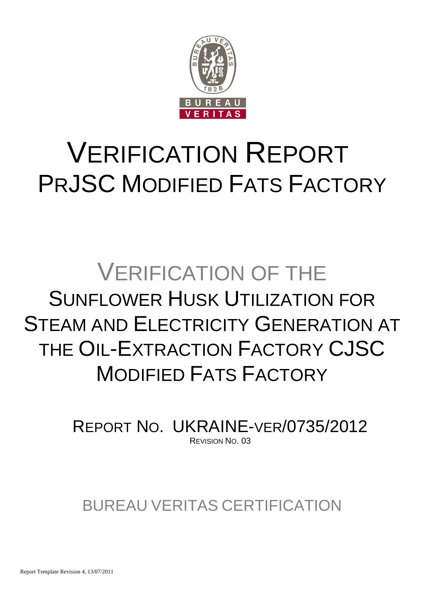

# VERIFICATION REPORT PRJSC MODIFIED FATS FACTORY

# VERIFICATION OF THE SUNFLOWER HUSK UTILIZATION FOR STEAM AND ELECTRICITY GENERATION AT THE OIL-EXTRACTION FACTORY CJSC MODIFIED FATS FACTORY

REPORT NO. UKRAINE-VER/0735/2012 REVISION NO. 03

BUREAU VERITAS CERTIFICATION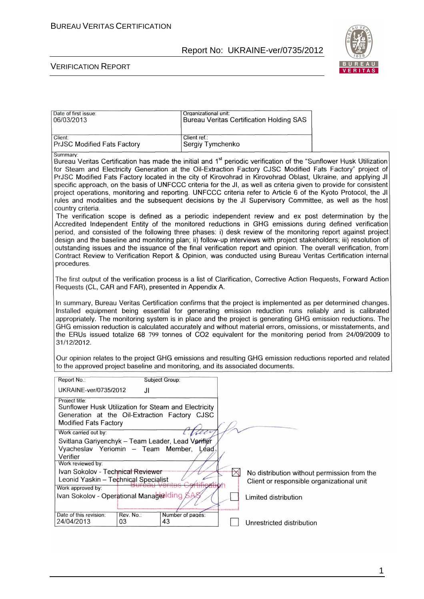

| Date of first issue:<br>06/03/2013                                                                                                                      |                | Organizational unit:             |               | <b>Bureau Veritas Certification Holding SAS</b>                                          |                                                                                                                                                                                                                                                                                                                                                                                                                                                                                                                                                                                                                                                                                                                                                                                                                                                                                                                                                                                                                                                                                                                                                                                                                                                                                                                                                                                                          |
|---------------------------------------------------------------------------------------------------------------------------------------------------------|----------------|----------------------------------|---------------|------------------------------------------------------------------------------------------|----------------------------------------------------------------------------------------------------------------------------------------------------------------------------------------------------------------------------------------------------------------------------------------------------------------------------------------------------------------------------------------------------------------------------------------------------------------------------------------------------------------------------------------------------------------------------------------------------------------------------------------------------------------------------------------------------------------------------------------------------------------------------------------------------------------------------------------------------------------------------------------------------------------------------------------------------------------------------------------------------------------------------------------------------------------------------------------------------------------------------------------------------------------------------------------------------------------------------------------------------------------------------------------------------------------------------------------------------------------------------------------------------------|
| Client:<br>PrJSC Modified Fats Factory                                                                                                                  |                | Client ref.:<br>Sergiy Tymchenko |               |                                                                                          |                                                                                                                                                                                                                                                                                                                                                                                                                                                                                                                                                                                                                                                                                                                                                                                                                                                                                                                                                                                                                                                                                                                                                                                                                                                                                                                                                                                                          |
| Summary:<br>country criteria.<br>procedures.                                                                                                            |                |                                  |               |                                                                                          | Bureau Veritas Certification has made the initial and 1 <sup>st</sup> periodic verification of the "Sunflower Husk Utilization<br>for Steam and Electricity Generation at the Oil-Extraction Factory CJSC Modified Fats Factory" project of<br>PrJSC Modified Fats Factory located in the city of Kirovohrad in Kirovohrad Oblast, Ukraine, and applying JI<br>specific approach, on the basis of UNFCCC criteria for the JI, as well as criteria given to provide for consistent<br>project operations, monitoring and reporting. UNFCCC criteria refer to Article 6 of the Kyoto Protocol, the JI<br>rules and modalities and the subsequent decisions by the JI Supervisory Committee, as well as the host<br>The verification scope is defined as a periodic independent review and ex post determination by the<br>Accredited Independent Entity of the monitored reductions in GHG emissions during defined verification<br>period, and consisted of the following three phases: i) desk review of the monitoring report against project<br>design and the baseline and monitoring plan; ii) follow-up interviews with project stakeholders; iii) resolution of<br>outstanding issues and the issuance of the final verification report and opinion. The overall verification, from<br>Contract Review to Verification Report & Opinion, was conducted using Bureau Veritas Certification internal |
| Requests (CL, CAR and FAR), presented in Appendix A.                                                                                                    |                |                                  |               |                                                                                          | The first output of the verification process is a list of Clarification, Corrective Action Requests, Forward Action                                                                                                                                                                                                                                                                                                                                                                                                                                                                                                                                                                                                                                                                                                                                                                                                                                                                                                                                                                                                                                                                                                                                                                                                                                                                                      |
| 31/12/2012.                                                                                                                                             |                |                                  |               |                                                                                          | In summary, Bureau Veritas Certification confirms that the project is implemented as per determined changes.<br>Installed equipment being essential for generating emission reduction runs reliably and is calibrated<br>appropriately. The monitoring system is in place and the project is generating GHG emission reductions. The<br>GHG emission reduction is calculated accurately and without material errors, omissions, or misstatements, and<br>the ERUs issued totalize 68 799 tonnes of CO2 equivalent for the monitoring period from 24/09/2009 to                                                                                                                                                                                                                                                                                                                                                                                                                                                                                                                                                                                                                                                                                                                                                                                                                                           |
| to the approved project baseline and monitoring, and its associated documents.                                                                          |                |                                  |               |                                                                                          | Our opinion relates to the project GHG emissions and resulting GHG emission reductions reported and related                                                                                                                                                                                                                                                                                                                                                                                                                                                                                                                                                                                                                                                                                                                                                                                                                                                                                                                                                                                                                                                                                                                                                                                                                                                                                              |
| Report No.:                                                                                                                                             | Subject Group: |                                  |               |                                                                                          |                                                                                                                                                                                                                                                                                                                                                                                                                                                                                                                                                                                                                                                                                                                                                                                                                                                                                                                                                                                                                                                                                                                                                                                                                                                                                                                                                                                                          |
| UKRAINE-ver/0735/2012                                                                                                                                   | JI             |                                  |               |                                                                                          |                                                                                                                                                                                                                                                                                                                                                                                                                                                                                                                                                                                                                                                                                                                                                                                                                                                                                                                                                                                                                                                                                                                                                                                                                                                                                                                                                                                                          |
| Project title:<br>Sunflower Husk Utilization for Steam and Electricity<br>Generation at the Oil-Extraction Factory CJSC<br><b>Modified Fats Factory</b> |                |                                  |               |                                                                                          |                                                                                                                                                                                                                                                                                                                                                                                                                                                                                                                                                                                                                                                                                                                                                                                                                                                                                                                                                                                                                                                                                                                                                                                                                                                                                                                                                                                                          |
| Work carried out by:                                                                                                                                    |                | L. Ville                         |               |                                                                                          |                                                                                                                                                                                                                                                                                                                                                                                                                                                                                                                                                                                                                                                                                                                                                                                                                                                                                                                                                                                                                                                                                                                                                                                                                                                                                                                                                                                                          |
| Svitlana Gariyenchyk - Team Leader, Lead Verifier<br>Vyacheslav Yeriomin - Team Member,<br>Verifier                                                     |                | Léad.                            |               |                                                                                          |                                                                                                                                                                                                                                                                                                                                                                                                                                                                                                                                                                                                                                                                                                                                                                                                                                                                                                                                                                                                                                                                                                                                                                                                                                                                                                                                                                                                          |
| Work reviewed by:<br>Ivan Sokolov - Technical Reviewer                                                                                                  |                |                                  |               |                                                                                          |                                                                                                                                                                                                                                                                                                                                                                                                                                                                                                                                                                                                                                                                                                                                                                                                                                                                                                                                                                                                                                                                                                                                                                                                                                                                                                                                                                                                          |
| Leonid Yaskin - Technical Specialist                                                                                                                    |                |                                  | $\bm{\times}$ | No distribution without permission from the<br>Client or responsible organizational unit |                                                                                                                                                                                                                                                                                                                                                                                                                                                                                                                                                                                                                                                                                                                                                                                                                                                                                                                                                                                                                                                                                                                                                                                                                                                                                                                                                                                                          |
| Work approved by:                                                                                                                                       |                |                                  |               |                                                                                          |                                                                                                                                                                                                                                                                                                                                                                                                                                                                                                                                                                                                                                                                                                                                                                                                                                                                                                                                                                                                                                                                                                                                                                                                                                                                                                                                                                                                          |
| Ivan Sokolov - Operational ManagerIding                                                                                                                 |                |                                  |               | Limited distribution                                                                     |                                                                                                                                                                                                                                                                                                                                                                                                                                                                                                                                                                                                                                                                                                                                                                                                                                                                                                                                                                                                                                                                                                                                                                                                                                                                                                                                                                                                          |
| Date of this revision:                                                                                                                                  | Rev. No.:      | Number of pages:                 |               |                                                                                          |                                                                                                                                                                                                                                                                                                                                                                                                                                                                                                                                                                                                                                                                                                                                                                                                                                                                                                                                                                                                                                                                                                                                                                                                                                                                                                                                                                                                          |
| 24/04/2013<br>03                                                                                                                                        |                | 43                               |               | Unrestricted distribution                                                                |                                                                                                                                                                                                                                                                                                                                                                                                                                                                                                                                                                                                                                                                                                                                                                                                                                                                                                                                                                                                                                                                                                                                                                                                                                                                                                                                                                                                          |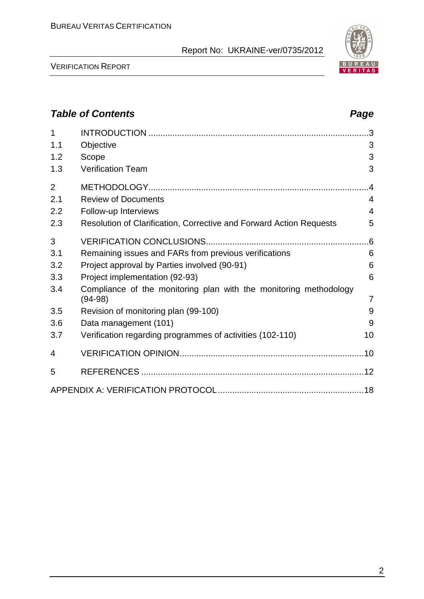

VERIFICATION REPORT

## **Table of Contents Page 2016** 1 INTRODUCTION ............................................................................................3 1.1 Objective 3 1.2 Scope 3 1.3 Verification Team 3 2 METHODOLOGY............................................................................................4 2.1 Review of Documents 4 2.2 Follow-up Interviews 4 2.3 Resolution of Clarification, Corrective and Forward Action Requests 5 3 VERIFICATION CONCLUSIONS....................................................................6 3.1 Remaining issues and FARs from previous verifications 6 3.2 Project approval by Parties involved (90-91) 6 3.3 Project implementation (92-93) 6 3.4 Compliance of the monitoring plan with the monitoring methodology (94-98) 7 3.5 Revision of monitoring plan (99-100) 8 3.6 Data management (101) 9 3.7 Verification regarding programmes of activities (102-110) 10 4 VERIFICATION OPINION.............................................................................10 5 REFERENCES .............................................................................................12 APPENDIX A: VERIFICATION PROTOCOL.............................................................18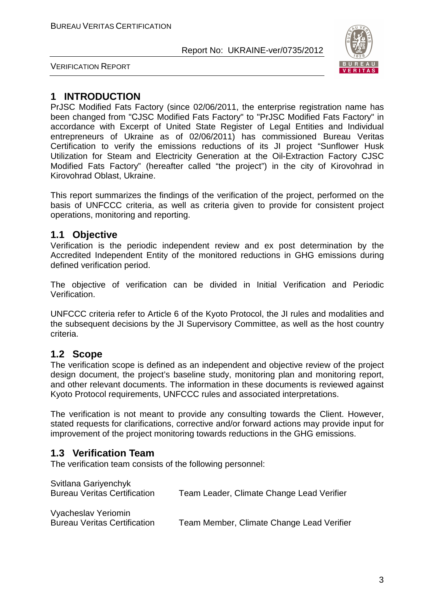

VERIFICATION REPORT

## **1 INTRODUCTION**

PrJSC Modified Fats Factory (since 02/06/2011, the enterprise registration name has been changed from "СJSC Modified Fats Factory" to "PrJSC Modified Fats Factory" in accordance with Excerpt of United State Register of Legal Entities and Individual entrepreneurs of Ukraine as of 02/06/2011) has commissioned Bureau Veritas Certification to verify the emissions reductions of its JI project "Sunflower Husk Utilization for Steam and Electricity Generation at the Oil-Extraction Factory CJSC Modified Fats Factory" (hereafter called "the project") in the city of Kirovohrad in Kirovohrad Oblast, Ukraine.

This report summarizes the findings of the verification of the project, performed on the basis of UNFCCC criteria, as well as criteria given to provide for consistent project operations, monitoring and reporting.

## **1.1 Objective**

Verification is the periodic independent review and ex post determination by the Accredited Independent Entity of the monitored reductions in GHG emissions during defined verification period.

The objective of verification can be divided in Initial Verification and Periodic Verification.

UNFCCC criteria refer to Article 6 of the Kyoto Protocol, the JI rules and modalities and the subsequent decisions by the JI Supervisory Committee, as well as the host country criteria.

## **1.2 Scope**

The verification scope is defined as an independent and objective review of the project design document, the project's baseline study, monitoring plan and monitoring report, and other relevant documents. The information in these documents is reviewed against Kyoto Protocol requirements, UNFCCC rules and associated interpretations.

The verification is not meant to provide any consulting towards the Client. However, stated requests for clarifications, corrective and/or forward actions may provide input for improvement of the project monitoring towards reductions in the GHG emissions.

## **1.3 Verification Team**

The verification team consists of the following personnel:

| Svitlana Gariyenchyk<br><b>Bureau Veritas Certification</b> | Team Leader, Climate Change Lead Verifier |
|-------------------------------------------------------------|-------------------------------------------|
| Vyacheslav Yeriomin<br><b>Bureau Veritas Certification</b>  | Team Member, Climate Change Lead Verifier |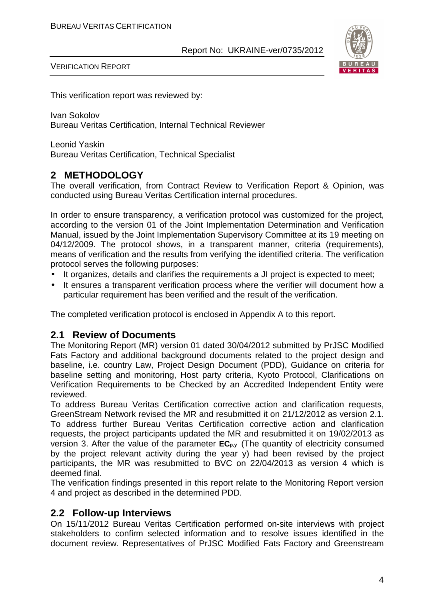

VERIFICATION REPORT

This verification report was reviewed by:

Ivan Sokolov Bureau Veritas Certification, Internal Technical Reviewer

Leonid Yaskin Bureau Veritas Certification, Technical Specialist

## **2 METHODOLOGY**

The overall verification, from Contract Review to Verification Report & Opinion, was conducted using Bureau Veritas Certification internal procedures.

In order to ensure transparency, a verification protocol was customized for the project, according to the version 01 of the Joint Implementation Determination and Verification Manual, issued by the Joint Implementation Supervisory Committee at its 19 meeting on 04/12/2009. The protocol shows, in a transparent manner, criteria (requirements), means of verification and the results from verifying the identified criteria. The verification protocol serves the following purposes:

- It organizes, details and clarifies the requirements a JI project is expected to meet;
- It ensures a transparent verification process where the verifier will document how a particular requirement has been verified and the result of the verification.

The completed verification protocol is enclosed in Appendix A to this report.

### **2.1 Review of Documents**

The Monitoring Report (MR) version 01 dated 30/04/2012 submitted by PrJSC Modified Fats Factory and additional background documents related to the project design and baseline, i.e. country Law, Project Design Document (PDD), Guidance on criteria for baseline setting and monitoring, Host party criteria, Kyoto Protocol, Clarifications on Verification Requirements to be Checked by an Accredited Independent Entity were reviewed.

To address Bureau Veritas Certification corrective action and clarification requests, GreenStream Network revised the MR and resubmitted it on 21/12/2012 as version 2.1. To address further Bureau Veritas Certification corrective action and clarification requests, the project participants updated the MR and resubmitted it on 19/02/2013 as version 3. After the value of the parameter **ECp,y** (The quantity of electricity consumed by the project relevant activity during the year y) had been revised by the project participants, the MR was resubmitted to BVC on 22/04/2013 as version 4 which is deemed final.

The verification findings presented in this report relate to the Monitoring Report version 4 and project as described in the determined PDD.

### **2.2 Follow-up Interviews**

On 15/11/2012 Bureau Veritas Certification performed on-site interviews with project stakeholders to confirm selected information and to resolve issues identified in the document review. Representatives of PrJSC Modified Fats Factory and Greenstream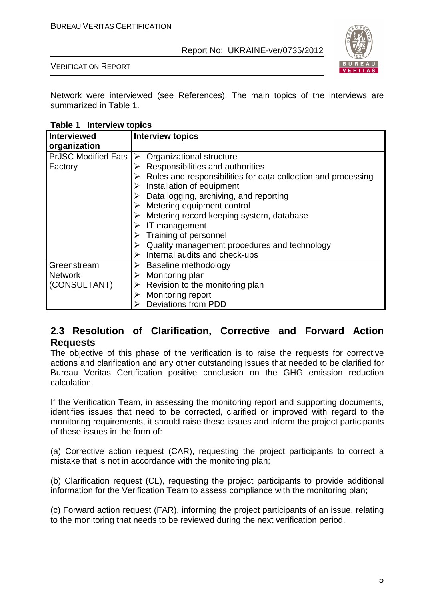

VERIFICATION REPORT

Network were interviewed (see References). The main topics of the interviews are summarized in Table 1.

**Table 1 Interview topics** 

| <b>Interviewed</b>         | <b>Interview topics</b>                                                        |
|----------------------------|--------------------------------------------------------------------------------|
| organization               |                                                                                |
| <b>PrJSC Modified Fats</b> | Organizational structure<br>➤                                                  |
| Factory                    | Responsibilities and authorities                                               |
|                            | $\triangleright$ Roles and responsibilities for data collection and processing |
|                            | $\triangleright$ Installation of equipment                                     |
|                            | $\triangleright$ Data logging, archiving, and reporting                        |
|                            | $\triangleright$ Metering equipment control                                    |
|                            | Metering record keeping system, database                                       |
|                            | IT management                                                                  |
|                            | $\triangleright$ Training of personnel                                         |
|                            | Quality management procedures and technology                                   |
|                            | Internal audits and check-ups                                                  |
| Greenstream                | Baseline methodology<br>➤                                                      |
| <b>Network</b>             | Monitoring plan<br>➤                                                           |
| (CONSULTANT)               | Revision to the monitoring plan<br>➤                                           |
|                            | Monitoring report                                                              |
|                            | <b>Deviations from PDD</b>                                                     |

## **2.3 Resolution of Clarification, Corrective and Forward Action Requests**

The objective of this phase of the verification is to raise the requests for corrective actions and clarification and any other outstanding issues that needed to be clarified for Bureau Veritas Certification positive conclusion on the GHG emission reduction calculation.

If the Verification Team, in assessing the monitoring report and supporting documents, identifies issues that need to be corrected, clarified or improved with regard to the monitoring requirements, it should raise these issues and inform the project participants of these issues in the form of:

(a) Corrective action request (CAR), requesting the project participants to correct a mistake that is not in accordance with the monitoring plan;

(b) Clarification request (CL), requesting the project participants to provide additional information for the Verification Team to assess compliance with the monitoring plan;

(c) Forward action request (FAR), informing the project participants of an issue, relating to the monitoring that needs to be reviewed during the next verification period.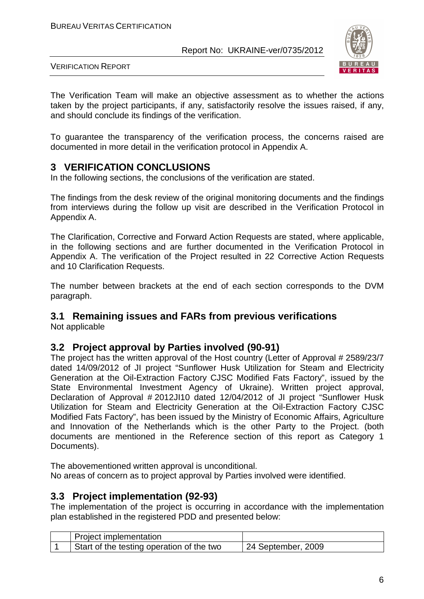

VERIFICATION REPORT

The Verification Team will make an objective assessment as to whether the actions taken by the project participants, if any, satisfactorily resolve the issues raised, if any, and should conclude its findings of the verification.

To guarantee the transparency of the verification process, the concerns raised are documented in more detail in the verification protocol in Appendix A.

## **3 VERIFICATION CONCLUSIONS**

In the following sections, the conclusions of the verification are stated.

The findings from the desk review of the original monitoring documents and the findings from interviews during the follow up visit are described in the Verification Protocol in Appendix A.

The Clarification, Corrective and Forward Action Requests are stated, where applicable, in the following sections and are further documented in the Verification Protocol in Appendix A. The verification of the Project resulted in 22 Corrective Action Requests and 10 Clarification Requests.

The number between brackets at the end of each section corresponds to the DVM paragraph.

### **3.1 Remaining issues and FARs from previous verifications**

Not applicable

### **3.2 Project approval by Parties involved (90-91)**

The project has the written approval of the Host country (Letter of Approval # 2589/23/7 dated 14/09/2012 of JI project "Sunflower Husk Utilization for Steam and Electricity Generation at the Oil-Extraction Factory CJSC Modified Fats Factory", issued by the State Environmental Investment Agency of Ukraine). Written project approval, Declaration of Approval # 2012JI10 dated 12/04/2012 of JI project "Sunflower Husk Utilization for Steam and Electricity Generation at the Oil-Extraction Factory CJSC Modified Fats Factory", has been issued by the Ministry of Economic Affairs, Agriculture and Innovation of the Netherlands which is the other Party to the Project. (both documents are mentioned in the Reference section of this report as Category 1 Documents).

The abovementioned written approval is unconditional. No areas of concern as to project approval by Parties involved were identified.

### **3.3 Project implementation (92-93)**

The implementation of the project is occurring in accordance with the implementation plan established in the registered PDD and presented below:

| Project implementation                    |                    |
|-------------------------------------------|--------------------|
| Start of the testing operation of the two | 24 September, 2009 |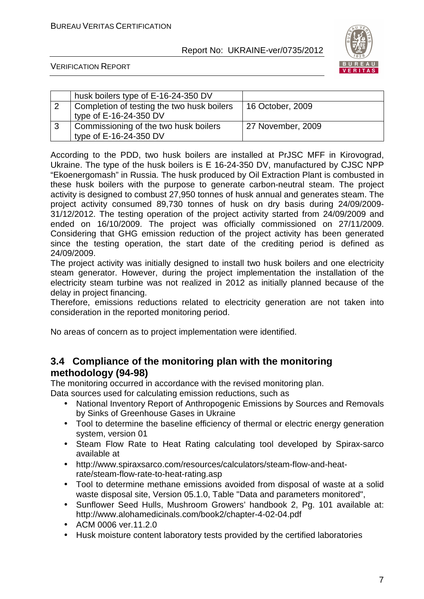

VERIFICATION REPORT

| husk boilers type of E-16-24-350 DV        |                   |
|--------------------------------------------|-------------------|
| Completion of testing the two husk boilers | 16 October, 2009  |
| type of E-16-24-350 DV                     |                   |
| Commissioning of the two husk boilers      | 27 November, 2009 |
| type of E-16-24-350 DV                     |                   |

According to the PDD, two husk boilers are installed at PrJSC MFF in Kirovograd, Ukraine. The type of the husk boilers is E 16-24-350 DV, manufactured by CJSC NPP "Ekoenergomash" in Russia. The husk produced by Oil Extraction Plant is combusted in these husk boilers with the purpose to generate carbon-neutral steam. The project activity is designed to combust 27,950 tonnes of husk annual and generates steam. The project activity consumed 89,730 tonnes of husk on dry basis during 24/09/2009- 31/12/2012. The testing operation of the project activity started from 24/09/2009 and ended on 16/10/2009. The project was officially commissioned on 27/11/2009. Considering that GHG emission reduction of the project activity has been generated since the testing operation, the start date of the crediting period is defined as 24/09/2009.

The project activity was initially designed to install two husk boilers and one electricity steam generator. However, during the project implementation the installation of the electricity steam turbine was not realized in 2012 as initially planned because of the delay in project financing.

Therefore, emissions reductions related to electricity generation are not taken into consideration in the reported monitoring period.

No areas of concern as to project implementation were identified.

## **3.4 Compliance of the monitoring plan with the monitoring methodology (94-98)**

The monitoring occurred in accordance with the revised monitoring plan.

Data sources used for calculating emission reductions, such as

- National Inventory Report of Anthropogenic Emissions by Sources and Removals by Sinks of Greenhouse Gases in Ukraine
- Tool to determine the baseline efficiency of thermal or electric energy generation system, version 01
- Steam Flow Rate to Heat Rating calculating tool developed by Spirax-sarco available at
- http://www.spiraxsarco.com/resources/calculators/steam-flow-and-heatrate/steam-flow-rate-to-heat-rating.asp
- Tool to determine methane emissions avoided from disposal of waste at a solid waste disposal site, Version 05.1.0, Table "Data and parameters monitored",
- Sunflower Seed Hulls, Mushroom Growers' handbook 2, Pg. 101 available at: http://www.alohamedicinals.com/book2/chapter-4-02-04.pdf
- ACM 0006 ver.11.2.0
- Husk moisture content laboratory tests provided by the certified laboratories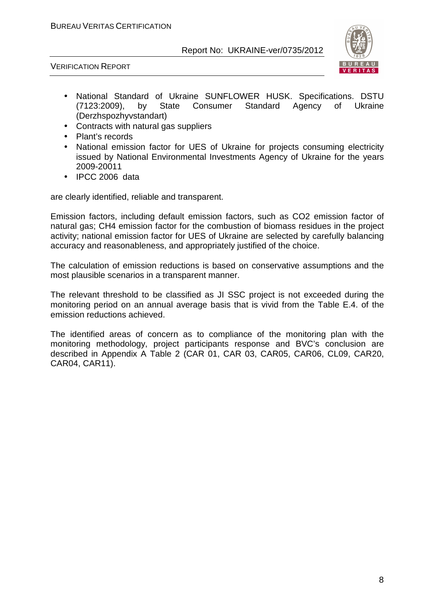



- National Standard of Ukraine SUNFLOWER HUSK. Specifications. DSTU (7123:2009), by State Consumer Standard Agency of Ukraine (Derzhspozhyvstandart)
- Contracts with natural gas suppliers
- Plant's records
- National emission factor for UES of Ukraine for projects consuming electricity issued by National Environmental Investments Agency of Ukraine for the years 2009-20011
- IPCC 2006 data

are clearly identified, reliable and transparent.

Emission factors, including default emission factors, such as CO2 emission factor of natural gas; CH4 emission factor for the combustion of biomass residues in the project activity; national emission factor for UES of Ukraine are selected by carefully balancing accuracy and reasonableness, and appropriately justified of the choice.

The calculation of emission reductions is based on conservative assumptions and the most plausible scenarios in a transparent manner.

The relevant threshold to be classified as JI SSC project is not exceeded during the monitoring period on an annual average basis that is vivid from the Table E.4. of the emission reductions achieved.

The identified areas of concern as to compliance of the monitoring plan with the monitoring methodology, project participants response and BVC's conclusion are described in Appendix A Table 2 (CAR 01, CAR 03, CAR05, CAR06, CL09, CAR20, CAR04, CAR11).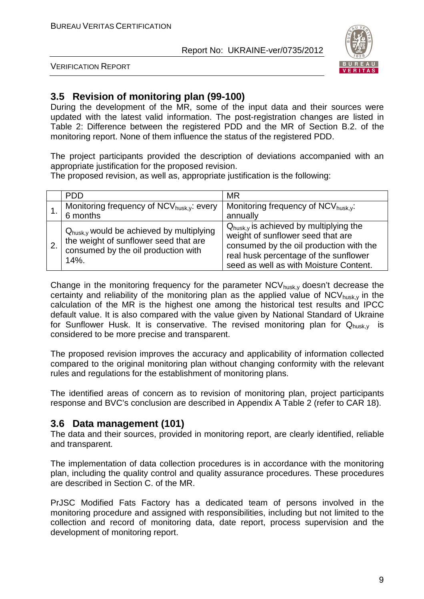

VERIFICATION REPORT

## **3.5 Revision of monitoring plan (99-100)**

During the development of the MR, some of the input data and their sources were updated with the latest valid information. The post-registration changes are listed in Table 2: Difference between the registered PDD and the MR of Section B.2. of the monitoring report. None of them influence the status of the registered PDD.

The project participants provided the description of deviations accompanied with an appropriate justification for the proposed revision.

The proposed revision, as well as, appropriate justification is the following:

|                  | <b>PDD</b>                                                                                                                                      | <b>MR</b>                                                                                                                                                                                                             |
|------------------|-------------------------------------------------------------------------------------------------------------------------------------------------|-----------------------------------------------------------------------------------------------------------------------------------------------------------------------------------------------------------------------|
|                  | Monitoring frequency of NCV <sub>husk,y</sub> : every<br>6 months                                                                               | Monitoring frequency of NCV <sub>husk,y</sub> :<br>annually                                                                                                                                                           |
| $\overline{2}$ . | $Q_{\text{husk,y}}$ would be achieved by multiplying<br>the weight of sunflower seed that are<br>consumed by the oil production with<br>$14%$ . | $Q_{\text{husk,y}}$ is achieved by multiplying the<br>weight of sunflower seed that are<br>consumed by the oil production with the<br>real husk percentage of the sunflower<br>seed as well as with Moisture Content. |

Change in the monitoring frequency for the parameter  $NCV_{husk,v}$  doesn't decrease the certainty and reliability of the monitoring plan as the applied value of  $NCV_{husk}$  in the calculation of the MR is the highest one among the historical test results and IPCC default value. It is also compared with the value given by National Standard of Ukraine for Sunflower Husk. It is conservative. The revised monitoring plan for  $Q_{\text{husky}}$  is considered to be more precise and transparent.

The proposed revision improves the accuracy and applicability of information collected compared to the original monitoring plan without changing conformity with the relevant rules and regulations for the establishment of monitoring plans.

The identified areas of concern as to revision of monitoring plan, project participants response and BVC's conclusion are described in Appendix A Table 2 (refer to CAR 18).

### **3.6 Data management (101)**

The data and their sources, provided in monitoring report, are clearly identified, reliable and transparent.

The implementation of data collection procedures is in accordance with the monitoring plan, including the quality control and quality assurance procedures. These procedures are described in Section C. of the MR.

PrJSC Modified Fats Factory has a dedicated team of persons involved in the monitoring procedure and assigned with responsibilities, including but not limited to the collection and record of monitoring data, date report, process supervision and the development of monitoring report.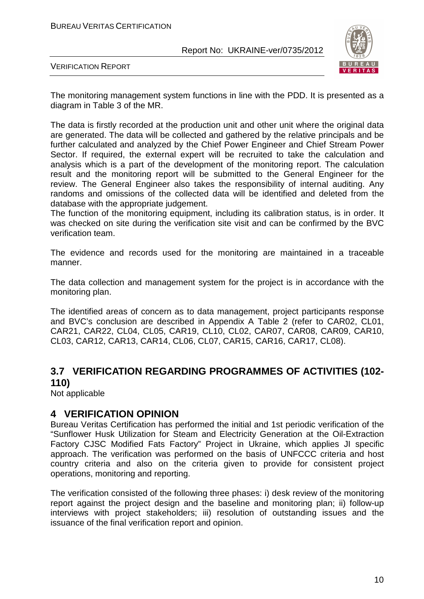

VERIFICATION REPORT

The monitoring management system functions in line with the PDD. It is presented as a diagram in Table 3 of the MR.

The data is firstly recorded at the production unit and other unit where the original data are generated. The data will be collected and gathered by the relative principals and be further calculated and analyzed by the Chief Power Engineer and Chief Stream Power Sector. If required, the external expert will be recruited to take the calculation and analysis which is a part of the development of the monitoring report. The calculation result and the monitoring report will be submitted to the General Engineer for the review. The General Engineer also takes the responsibility of internal auditing. Any randoms and omissions of the collected data will be identified and deleted from the database with the appropriate judgement.

The function of the monitoring equipment, including its calibration status, is in order. It was checked on site during the verification site visit and can be confirmed by the BVC verification team.

The evidence and records used for the monitoring are maintained in a traceable manner.

The data collection and management system for the project is in accordance with the monitoring plan.

The identified areas of concern as to data management, project participants response and BVC's conclusion are described in Appendix A Table 2 (refer to CAR02, CL01, CAR21, CAR22, CL04, CL05, CAR19, CL10, CL02, CAR07, CAR08, CAR09, CAR10, CL03, CAR12, CAR13, CAR14, CL06, CL07, CAR15, CAR16, CAR17, CL08).

## **3.7 VERIFICATION REGARDING PROGRAMMES OF ACTIVITIES (102- 110)**

Not applicable

### **4 VERIFICATION OPINION**

Bureau Veritas Certification has performed the initial and 1st periodic verification of the "Sunflower Husk Utilization for Steam and Electricity Generation at the Oil-Extraction Factory CJSC Modified Fats Factory" Project in Ukraine, which applies JI specific approach. The verification was performed on the basis of UNFCCC criteria and host country criteria and also on the criteria given to provide for consistent project operations, monitoring and reporting.

The verification consisted of the following three phases: i) desk review of the monitoring report against the project design and the baseline and monitoring plan; ii) follow-up interviews with project stakeholders; iii) resolution of outstanding issues and the issuance of the final verification report and opinion.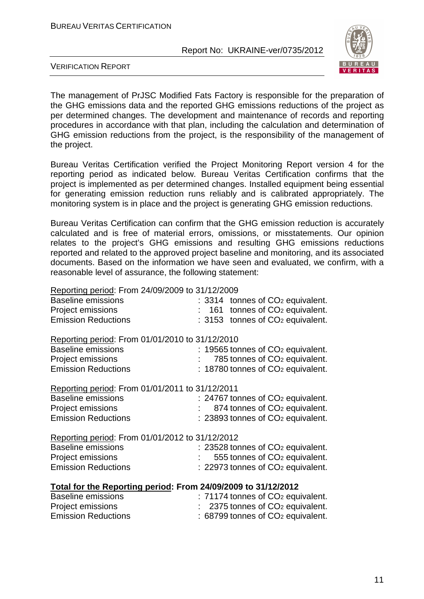

VERIFICATION REPORT

The management of PrJSC Modified Fats Factory is responsible for the preparation of the GHG emissions data and the reported GHG emissions reductions of the project as per determined changes. The development and maintenance of records and reporting procedures in accordance with that plan, including the calculation and determination of GHG emission reductions from the project, is the responsibility of the management of the project.

Bureau Veritas Certification verified the Project Monitoring Report version 4 for the reporting period as indicated below. Bureau Veritas Certification confirms that the project is implemented as per determined changes. Installed equipment being essential for generating emission reduction runs reliably and is calibrated appropriately. The monitoring system is in place and the project is generating GHG emission reductions.

Bureau Veritas Certification can confirm that the GHG emission reduction is accurately calculated and is free of material errors, omissions, or misstatements. Our opinion relates to the project's GHG emissions and resulting GHG emissions reductions reported and related to the approved project baseline and monitoring, and its associated documents. Based on the information we have seen and evaluated, we confirm, with a reasonable level of assurance, the following statement:

Reporting period: From 24/09/2009 to 31/12/2009

| <b>Baseline emissions</b>                                     | $: 3314$ tonnes of $CO2$ equivalent.          |
|---------------------------------------------------------------|-----------------------------------------------|
| Project emissions                                             | $: 161$ tonnes of $CO2$ equivalent.           |
| <b>Emission Reductions</b>                                    | $: 3153$ tonnes of $CO2$ equivalent.          |
| Reporting period: From 01/01/2010 to 31/12/2010               |                                               |
| <b>Baseline emissions</b>                                     | $: 19565$ tonnes of $CO2$ equivalent.         |
| Project emissions                                             | 785 tonnes of CO <sub>2</sub> equivalent.     |
| <b>Emission Reductions</b>                                    | $: 18780$ tonnes of $CO2$ equivalent.         |
| Reporting period: From 01/01/2011 to 31/12/2011               |                                               |
| <b>Baseline emissions</b>                                     | $: 24767$ tonnes of $CO2$ equivalent.         |
| Project emissions                                             | 874 tonnes of CO <sub>2</sub> equivalent.     |
| <b>Emission Reductions</b>                                    | : 23893 tonnes of CO <sub>2</sub> equivalent. |
| Reporting period: From 01/01/2012 to 31/12/2012               |                                               |
| <b>Baseline emissions</b>                                     | : 23528 tonnes of CO <sub>2</sub> equivalent. |
| Project emissions                                             | 555 tonnes of CO <sub>2</sub> equivalent.     |
| <b>Emission Reductions</b>                                    | : 22973 tonnes of CO <sub>2</sub> equivalent. |
| Total for the Reporting period: From 24/09/2009 to 31/12/2012 |                                               |
| <b>Baseline emissions</b>                                     | : 71174 tonnes of CO <sub>2</sub> equivalent. |
| Project emissions                                             | 2375 tonnes of CO <sub>2</sub> equivalent.    |
| <b>Emission Reductions</b>                                    | : 68799 tonnes of CO <sub>2</sub> equivalent. |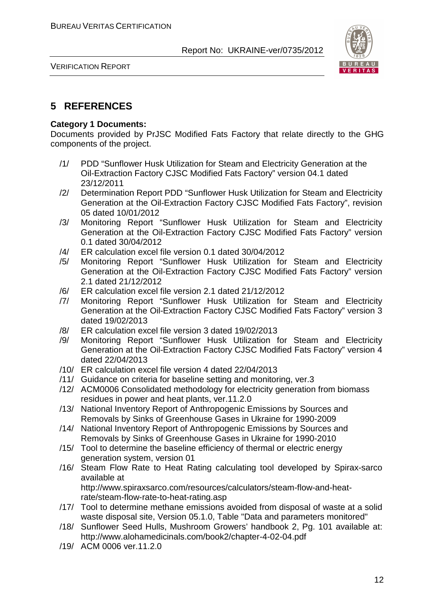

VERIFICATION REPORT

## **5 REFERENCES**

#### **Category 1 Documents:**

Documents provided by PrJSC Modified Fats Factory that relate directly to the GHG components of the project.

- /1/ PDD "Sunflower Husk Utilization for Steam and Electricity Generation at the Oil-Extraction Factory CJSC Modified Fats Factory" version 04.1 dated 23/12/2011
- /2/ Determination Report PDD "Sunflower Husk Utilization for Steam and Electricity Generation at the Oil-Extraction Factory CJSC Modified Fats Factory", revision 05 dated 10/01/2012
- /3/ Monitoring Report "Sunflower Husk Utilization for Steam and Electricity Generation at the Oil-Extraction Factory CJSC Modified Fats Factory" version 0.1 dated 30/04/2012
- /4/ ER calculation excel file version 0.1 dated 30/04/2012
- /5/ Monitoring Report "Sunflower Husk Utilization for Steam and Electricity Generation at the Oil-Extraction Factory CJSC Modified Fats Factory" version 2.1 dated 21/12/2012
- /6/ ER calculation excel file version 2.1 dated 21/12/2012
- /7/ Monitoring Report "Sunflower Husk Utilization for Steam and Electricity Generation at the Oil-Extraction Factory CJSC Modified Fats Factory" version 3 dated 19/02/2013
- /8/ ER calculation excel file version 3 dated 19/02/2013
- /9/ Monitoring Report "Sunflower Husk Utilization for Steam and Electricity Generation at the Oil-Extraction Factory CJSC Modified Fats Factory" version 4 dated 22/04/2013
- /10/ ER calculation excel file version 4 dated 22/04/2013
- /11/ Guidance on criteria for baseline setting and monitoring, ver.3
- /12/ ACM0006 Consolidated methodology for electricity generation from biomass residues in power and heat plants, ver.11.2.0
- /13/ National Inventory Report of Anthropogenic Emissions by Sources and Removals by Sinks of Greenhouse Gases in Ukraine for 1990-2009
- /14/ National Inventory Report of Anthropogenic Emissions by Sources and Removals by Sinks of Greenhouse Gases in Ukraine for 1990-2010
- /15/ Tool to determine the baseline efficiency of thermal or electric energy generation system, version 01
- /16/ Steam Flow Rate to Heat Rating calculating tool developed by Spirax-sarco available at http://www.spiraxsarco.com/resources/calculators/steam-flow-and-heat-

rate/steam-flow-rate-to-heat-rating.asp

- /17/ Tool to determine methane emissions avoided from disposal of waste at a solid waste disposal site, Version 05.1.0, Table "Data and parameters monitored"
- /18/ Sunflower Seed Hulls, Mushroom Growers' handbook 2, Pg. 101 available at: http://www.alohamedicinals.com/book2/chapter-4-02-04.pdf
- /19/ ACM 0006 ver.11.2.0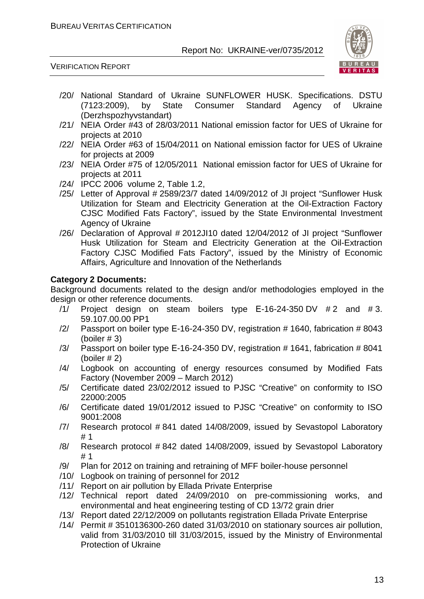

VERIFICATION REPORT

- /20/ National Standard of Ukraine SUNFLOWER HUSK. Specifications. DSTU (7123:2009), by State Consumer Standard Agency of Ukraine (Derzhspozhyvstandart)
- /21/ NEIA Order #43 of 28/03/2011 National emission factor for UES of Ukraine for projects at 2010
- /22/ NEIA Order #63 of 15/04/2011 on National emission factor for UES of Ukraine for projects at 2009
- /23/ NEIA Order #75 of 12/05/2011 National emission factor for UES of Ukraine for projects at 2011
- /24/ IPCC 2006 volume 2, Table 1.2,
- /25/ Letter of Approval # 2589/23/7 dated 14/09/2012 of JI project "Sunflower Husk Utilization for Steam and Electricity Generation at the Oil-Extraction Factory CJSC Modified Fats Factory", issued by the State Environmental Investment Agency of Ukraine
- /26/ Declaration of Approval # 2012JI10 dated 12/04/2012 of JI project "Sunflower Husk Utilization for Steam and Electricity Generation at the Oil-Extraction Factory CJSC Modified Fats Factory", issued by the Ministry of Economic Affairs, Agriculture and Innovation of the Netherlands

#### **Category 2 Documents:**

Background documents related to the design and/or methodologies employed in the design or other reference documents.

- $/1/$  Project design on steam boilers type E-16-24-350 DV  $#2$  and  $#3$ . 59.107.00.00 PP1
- /2/ Passport on boiler type Е-16-24-350 DV, registration # 1640, fabrication # 8043 (boiler # 3)
- /3/ Passport on boiler type Е-16-24-350 DV, registration # 1641, fabrication # 8041 (boiler # 2)
- /4/ Logbook on accounting of energy resources consumed by Modified Fats Factory (November 2009 – March 2012)
- /5/ Certificate dated 23/02/2012 issued to PJSC "Creative" on conformity to ISO 22000:2005
- /6/ Certificate dated 19/01/2012 issued to PJSC "Creative" on conformity to ISO 9001:2008
- /7/ Research protocol # 841 dated 14/08/2009, issued by Sevastopol Laboratory # 1
- /8/ Research protocol # 842 dated 14/08/2009, issued by Sevastopol Laboratory # 1
- /9/ Plan for 2012 on training and retraining of MFF boiler-house personnel
- /10/ Logbook on training of personnel for 2012
- /11/ Report on air pollution by Ellada Private Enterprise
- /12/ Technical report dated 24/09/2010 on pre-commissioning works, and environmental and heat engineering testing of CD 13/72 grain drier
- /13/ Report dated 22/12/2009 on pollutants registration Ellada Private Enterprise
- /14/ Permit # 3510136300-260 dated 31/03/2010 on stationary sources air pollution, valid from 31/03/2010 till 31/03/2015, issued by the Ministry of Environmental Protection of Ukraine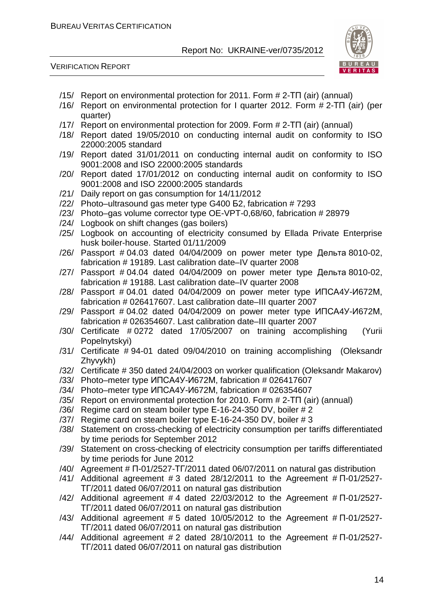

- /15/ Report on environmental protection for 2011. Form # 2-ТП (air) (annual)
- /16/ Report on environmental protection for I quarter 2012. Form # 2-ТП (air) (per quarter)
- /17/ Report on environmental protection for 2009. Form # 2-ТП (air) (annual)
- /18/ Report dated 19/05/2010 on conducting internal audit on conformity to ISO 22000:2005 standard
- /19/ Report dated 31/01/2011 on conducting internal audit on conformity to ISO 9001:2008 and ISO 22000:2005 standards
- /20/ Report dated 17/01/2012 on conducting internal audit on conformity to ISO 9001:2008 and ISO 22000:2005 standards
- /21/ Daily report on gas consumption for 14/11/2012
- /22/ Photo–ultrasound gas meter type G400 Б2, fabrication # 7293
- /23/ Photo–gas volume corrector type OE-VPT-0,68/60, fabrication # 28979
- /24/ Logbook on shift changes (gas boilers)
- /25/ Logbook on accounting of electricity consumed by Ellada Private Enterprise husk boiler-house. Started 01/11/2009
- /26/ Passport # 04.03 dated 04/04/2009 on power meter type Дельта 8010-02, fabrication # 19189. Last calibration date–IV quarter 2008
- /27/ Passport # 04.04 dated 04/04/2009 on power meter type Дельта 8010-02, fabrication # 19188. Last calibration date–IV quarter 2008
- /28/ Passport # 04.01 dated 04/04/2009 on power meter type ИПСА4У-И672М, fabrication # 026417607. Last calibration date–III quarter 2007
- /29/ Passport # 04.02 dated 04/04/2009 on power meter type ИПСА4У-И672М, fabrication # 026354607. Last calibration date–III quarter 2007
- /30/ Certificate # 0272 dated 17/05/2007 on training accomplishing (Yurii Popelnytskyi)
- /31/ Certificate # 94-01 dated 09/04/2010 on training accomplishing (Oleksandr Zhyvykh)
- /32/ Certificate # 350 dated 24/04/2003 on worker qualification (Oleksandr Makarov)
- /33/ Photo–meter type ИПСА4У-И672М, fabrication # 026417607
- /34/ Photo–meter type ИПСА4У-И672М, fabrication # 026354607
- /35/ Report on environmental protection for 2010. Form # 2-ТП (air) (annual)
- /36/ Regime card on steam boiler type Е-16-24-350 DV, boiler # 2
- /37/ Regime card on steam boiler type Е-16-24-350 DV, boiler # 3
- /38/ Statement on cross-checking of electricity consumption per tariffs differentiated by time periods for September 2012
- /39/ Statement on cross-checking of electricity consumption per tariffs differentiated by time periods for June 2012
- /40/ Agreement # П-01/2527-ТГ/2011 dated 06/07/2011 on natural gas distribution
- /41/ Additional agreement  $\#$  3 dated 28/12/2011 to the Agreement  $\#$   $\Pi$ -01/2527-ТГ/2011 dated 06/07/2011 on natural gas distribution
- $/42/$  Additional agreement #4 dated 22/03/2012 to the Agreement # $\Pi$ -01/2527-ТГ/2011 dated 06/07/2011 on natural gas distribution
- $/43/$  Additional agreement # 5 dated 10/05/2012 to the Agreement #  $\Pi$ -01/2527-ТГ/2011 dated 06/07/2011 on natural gas distribution
- /44/ Additional agreement  $#2$  dated 28/10/2011 to the Agreement  $# \Pi$ -01/2527-ТГ/2011 dated 06/07/2011 on natural gas distribution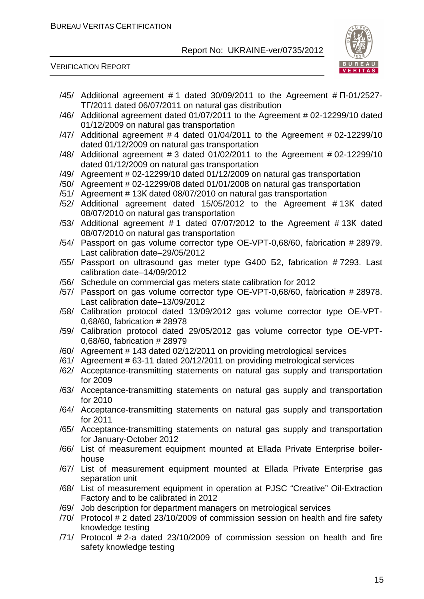

- $/45/$  Additional agreement #1 dated 30/09/2011 to the Agreement # $\Pi$ -01/2527-ТГ/2011 dated 06/07/2011 on natural gas distribution
- /46/ Additional agreement dated 01/07/2011 to the Agreement # 02-12299/10 dated 01/12/2009 on natural gas transportation
- /47/ Additional agreement # 4 dated 01/04/2011 to the Agreement # 02-12299/10 dated 01/12/2009 on natural gas transportation
- /48/ Additional agreement # 3 dated 01/02/2011 to the Agreement # 02-12299/10 dated 01/12/2009 on natural gas transportation
- /49/ Agreement # 02-12299/10 dated 01/12/2009 on natural gas transportation
- /50/ Agreement # 02-12299/08 dated 01/01/2008 on natural gas transportation
- /51/ Agreement # 13К dated 08/07/2010 on natural gas transportation
- /52/ Additional agreement dated 15/05/2012 to the Agreement # 13К dated 08/07/2010 on natural gas transportation
- /53/ Additional agreement # 1 dated 07/07/2012 to the Agreement # 13К dated 08/07/2010 on natural gas transportation
- /54/ Passport on gas volume corrector type OE-VPT-0,68/60, fabrication # 28979. Last calibration date–29/05/2012
- /55/ Passport on ultrasound gas meter type G400 Б2, fabrication # 7293. Last calibration date–14/09/2012
- /56/ Schedule on commercial gas meters state calibration for 2012
- /57/ Passport on gas volume corrector type OE-VPT-0,68/60, fabrication # 28978. Last calibration date–13/09/2012
- /58/ Calibration protocol dated 13/09/2012 gas volume corrector type OE-VPT-0,68/60, fabrication # 28978
- /59/ Calibration protocol dated 29/05/2012 gas volume corrector type OE-VPT-0,68/60, fabrication # 28979
- /60/ Agreement # 143 dated 02/12/2011 on providing metrological services
- /61/ Agreement # 63-11 dated 20/12/2011 on providing metrological services
- /62/ Acceptance-transmitting statements on natural gas supply and transportation for 2009
- /63/ Acceptance-transmitting statements on natural gas supply and transportation for 2010
- /64/ Acceptance-transmitting statements on natural gas supply and transportation for 2011
- /65/ Acceptance-transmitting statements on natural gas supply and transportation for January-October 2012
- /66/ List of measurement equipment mounted at Ellada Private Enterprise boilerhouse
- /67/ List of measurement equipment mounted at Ellada Private Enterprise gas separation unit
- /68/ List of measurement equipment in operation at PJSC "Creative" Oil-Extraction Factory and to be calibrated in 2012
- /69/ Job description for department managers on metrological services
- /70/ Protocol # 2 dated 23/10/2009 of commission session on health and fire safety knowledge testing
- /71/ Protocol # 2-a dated 23/10/2009 of commission session on health and fire safety knowledge testing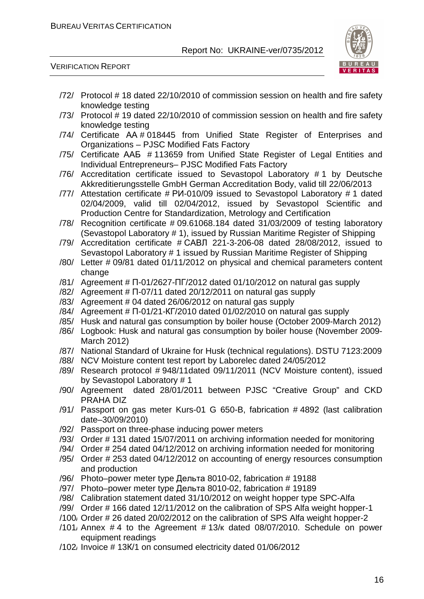

- /72/ Protocol # 18 dated 22/10/2010 of commission session on health and fire safety knowledge testing
- /73/ Protocol # 19 dated 22/10/2010 of commission session on health and fire safety knowledge testing
- /74/ Certificate АА # 018445 from Unified State Register of Enterprises and Organizations – PJSC Modified Fats Factory
- /75/ Certificate ААБ # 113659 from Unified State Register of Legal Entities and Individual Entrepreneurs– PJSC Modified Fats Factory
- /76/ Accreditation certificate issued to Sevastopol Laboratory # 1 by Deutsche Akkreditierungsstelle GmbH German Accreditation Body, valid till 22/06/2013
- /77/ Attestation certificate # РИ-010/09 issued to Sevastopol Laboratory # 1 dated 02/04/2009, valid till 02/04/2012, issued by Sevastopol Scientific and Production Centre for Standardization, Metrology and Certification
- /78/ Recognition certificate # 09.61068.184 dated 31/03/2009 of testing laboratory (Sevastopol Laboratory # 1), issued by Russian Maritime Register of Shipping
- /79/ Accreditation certificate # САВЛ 221-3-206-08 dated 28/08/2012, issued to Sevastopol Laboratory # 1 issued by Russian Maritime Register of Shipping
- /80/ Letter # 09/81 dated 01/11/2012 on physical and chemical parameters content change
- $/81/$  Agreement #  $\Pi$ -01/2627- $\Pi$   $\Gamma$ /2012 dated 01/10/2012 on natural gas supply
- /82/ Agreement # П-07/11 dated 20/12/2011 on natural gas supply
- /83/ Agreement # 04 dated 26/06/2012 on natural gas supply
- /84/ Agreement # П-01/21-КГ/2010 dated 01/02/2010 on natural gas supply
- /85/ Husk and natural gas consumption by boiler house (October 2009-March 2012)
- /86/ Logbook: Husk and natural gas consumption by boiler house (November 2009- March 2012)
- /87/ National Standard of Ukraine for Husk (technical regulations). DSTU 7123:2009
- /88/ NCV Moisture content test report by Laborelec dated 24/05/2012
- /89/ Research protocol # 948/11dated 09/11/2011 (NCV Moisture content), issued by Sevastopol Laboratory # 1
- /90/ Agreement dated 28/01/2011 between PJSC "Creative Group" and CKD PRAHA DIZ
- /91/ Passport on gas meter Kurs-01 G 650-B, fabrication # 4892 (last calibration date–30/09/2010)
- /92/ Passport on three-phase inducing power meters
- /93/ Order # 131 dated 15/07/2011 on archiving information needed for monitoring
- /94/ Order # 254 dated 04/12/2012 on archiving information needed for monitoring
- /95/ Order # 253 dated 04/12/2012 on accounting of energy resources consumption and production
- /96/ Photo–power meter type Дельта 8010-02, fabrication # 19188
- /97/ Photo–power meter type Дельта 8010-02, fabrication # 19189
- /98/ Calibration statement dated 31/10/2012 on weight hopper type SPC-Alfa
- /99/ Order # 166 dated 12/11/2012 on the calibration of SPS Alfa weight hopper-1
- /100/ Order # 26 dated 20/02/2012 on the calibration of SPS Alfa weight hopper-2
- $/101$ , Annex #4 to the Agreement # 13/ $k$  dated 08/07/2010. Schedule on power equipment readings
- /102/ Invoice # 13К/1 on consumed electricity dated 01/06/2012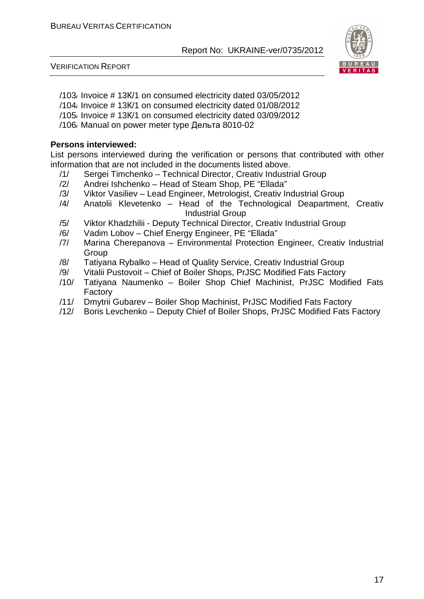

VERIFICATION REPORT

- /103/ Invoice # 13К/1 on consumed electricity dated 03/05/2012
- /104/ Invoice # 13К/1 on consumed electricity dated 01/08/2012
- /105/ Invoice # 13К/1 on consumed electricity dated 03/09/2012
- /106/ Manual on power meter type Дельта 8010-02

#### **Persons interviewed:**

List persons interviewed during the verification or persons that contributed with other information that are not included in the documents listed above.

- /1/ Sergei Timchenko Technical Director, Creativ Industrial Group
- /2/ Andrei Ishchenko Head of Steam Shop, PE "Ellada"
- /3/ Viktor Vasiliev Lead Engineer, Metrologist, Creativ Industrial Group
- /4/ Anatolii Klevetenko Head of the Technological Deapartment, Creativ Industrial Group
- /5/ Viktor Khadzhilii Deputy Technical Director, Creativ Industrial Group
- /6/ Vadim Lobov Chief Energy Engineer, PE "Ellada"
- /7/ Marina Cherepanova Environmental Protection Engineer, Creativ Industrial **Group**
- /8/ Tatiyana Rybalko Head of Quality Service, Creativ Industrial Group
- /9/ Vitalii Pustovoit Chief of Boiler Shops, PrJSC Modified Fats Factory
- /10/ Tatiyana Naumenko Boiler Shop Chief Machinist, PrJSC Modified Fats Factory
- /11/ Dmytrii Gubarev Boiler Shop Machinist, PrJSC Modified Fats Factory
- /12/ Boris Levchenko Deputy Chief of Boiler Shops, PrJSC Modified Fats Factory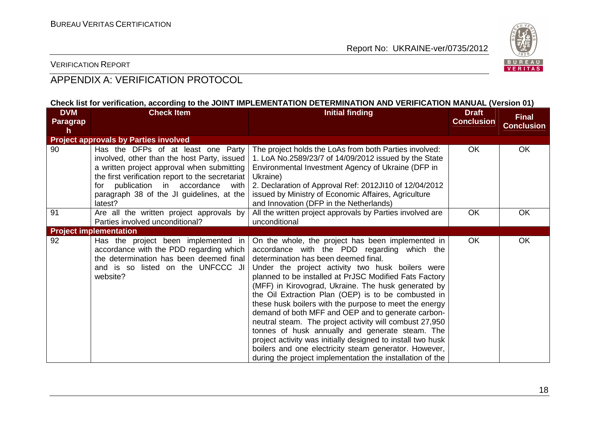

#### VERIFICATION REPORT

## APPENDIX A: VERIFICATION PROTOCOL

#### **Check list for verification, according to the JOINT IMPLEMENTATION DETERMINATION AND VERIFICATION MANUAL (Version 01)**

| <b>DVM</b><br><b>Paragrap</b> | <b>Check Item</b>                                                                                                                                                                                                                                                                    | <b>Initial finding</b>                                                                                                                                                                                                                                                                                                                                                                                                                                                                                                                                                                                                                                                                                                                                                                  | <b>Draft</b><br><b>Conclusion</b> | <b>Final</b>      |
|-------------------------------|--------------------------------------------------------------------------------------------------------------------------------------------------------------------------------------------------------------------------------------------------------------------------------------|-----------------------------------------------------------------------------------------------------------------------------------------------------------------------------------------------------------------------------------------------------------------------------------------------------------------------------------------------------------------------------------------------------------------------------------------------------------------------------------------------------------------------------------------------------------------------------------------------------------------------------------------------------------------------------------------------------------------------------------------------------------------------------------------|-----------------------------------|-------------------|
| h                             |                                                                                                                                                                                                                                                                                      |                                                                                                                                                                                                                                                                                                                                                                                                                                                                                                                                                                                                                                                                                                                                                                                         |                                   | <b>Conclusion</b> |
|                               | <b>Project approvals by Parties involved</b>                                                                                                                                                                                                                                         |                                                                                                                                                                                                                                                                                                                                                                                                                                                                                                                                                                                                                                                                                                                                                                                         |                                   |                   |
| 90                            | Has the DFPs of at least one Party<br>involved, other than the host Party, issued<br>a written project approval when submitting<br>the first verification report to the secretariat<br>for publication in accordance<br>with<br>paragraph 38 of the JI guidelines, at the<br>latest? | The project holds the LoAs from both Parties involved:<br>1. LoA No.2589/23/7 of 14/09/2012 issued by the State<br>Environmental Investment Agency of Ukraine (DFP in<br>Ukraine)<br>2. Declaration of Approval Ref: 2012JI10 of 12/04/2012<br>issued by Ministry of Economic Affaires, Agriculture<br>and Innovation (DFP in the Netherlands)                                                                                                                                                                                                                                                                                                                                                                                                                                          | OK                                | OK                |
| 91                            | Are all the written project approvals by<br>Parties involved unconditional?                                                                                                                                                                                                          | All the written project approvals by Parties involved are<br>unconditional                                                                                                                                                                                                                                                                                                                                                                                                                                                                                                                                                                                                                                                                                                              | OK                                | OK                |
|                               | <b>Project implementation</b>                                                                                                                                                                                                                                                        |                                                                                                                                                                                                                                                                                                                                                                                                                                                                                                                                                                                                                                                                                                                                                                                         |                                   |                   |
| 92                            | Has the project been implemented in<br>accordance with the PDD regarding which<br>the determination has been deemed final<br>and is so listed on the UNFCCC JI<br>website?                                                                                                           | On the whole, the project has been implemented in<br>accordance with the PDD regarding which the<br>determination has been deemed final.<br>Under the project activity two husk boilers were<br>planned to be installed at PrJSC Modified Fats Factory<br>(MFF) in Kirovograd, Ukraine. The husk generated by<br>the Oil Extraction Plan (OEP) is to be combusted in<br>these husk boilers with the purpose to meet the energy<br>demand of both MFF and OEP and to generate carbon-<br>neutral steam. The project activity will combust 27,950<br>tonnes of husk annually and generate steam. The<br>project activity was initially designed to install two husk<br>boilers and one electricity steam generator. However,<br>during the project implementation the installation of the | <b>OK</b>                         | OK                |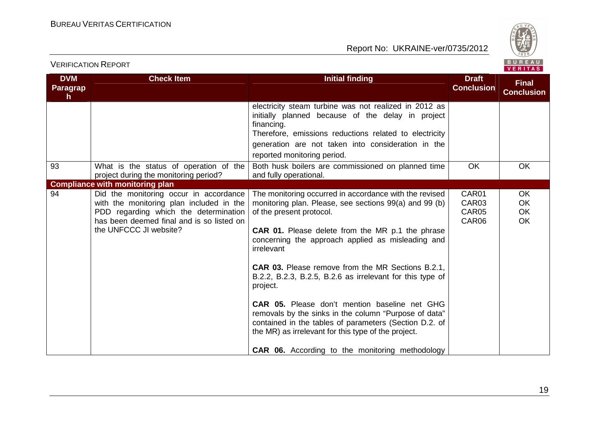

|  | . | - 7 |  |
|--|---|-----|--|
|  |   |     |  |

| <b>DVM</b>            | <b>Check Item</b>                                                                                                                                                                                  | <b>Initial finding</b>                                                                                                                                                                                                                                                                                                                                                                                                                                                                                                                                                                                                                                                                               | <b>Draft</b>                                 | <b>Final</b>                |
|-----------------------|----------------------------------------------------------------------------------------------------------------------------------------------------------------------------------------------------|------------------------------------------------------------------------------------------------------------------------------------------------------------------------------------------------------------------------------------------------------------------------------------------------------------------------------------------------------------------------------------------------------------------------------------------------------------------------------------------------------------------------------------------------------------------------------------------------------------------------------------------------------------------------------------------------------|----------------------------------------------|-----------------------------|
| <b>Paragrap</b><br>h. |                                                                                                                                                                                                    |                                                                                                                                                                                                                                                                                                                                                                                                                                                                                                                                                                                                                                                                                                      | <b>Conclusion</b>                            | <b>Conclusion</b>           |
|                       |                                                                                                                                                                                                    | electricity steam turbine was not realized in 2012 as<br>initially planned because of the delay in project<br>financing.<br>Therefore, emissions reductions related to electricity<br>generation are not taken into consideration in the<br>reported monitoring period.                                                                                                                                                                                                                                                                                                                                                                                                                              |                                              |                             |
| 93                    | What is the status of operation of the<br>project during the monitoring period?                                                                                                                    | Both husk boilers are commissioned on planned time<br>and fully operational.                                                                                                                                                                                                                                                                                                                                                                                                                                                                                                                                                                                                                         | <b>OK</b>                                    | OK                          |
|                       | <b>Compliance with monitoring plan</b>                                                                                                                                                             |                                                                                                                                                                                                                                                                                                                                                                                                                                                                                                                                                                                                                                                                                                      |                                              |                             |
| 94                    | Did the monitoring occur in accordance<br>with the monitoring plan included in the<br>PDD regarding which the determination<br>has been deemed final and is so listed on<br>the UNFCCC JI website? | The monitoring occurred in accordance with the revised<br>monitoring plan. Please, see sections 99(a) and 99 (b)<br>of the present protocol.<br><b>CAR 01.</b> Please delete from the MR p.1 the phrase<br>concerning the approach applied as misleading and<br>irrelevant<br><b>CAR 03.</b> Please remove from the MR Sections B.2.1,<br>B.2.2, B.2.3, B.2.5, B.2.6 as irrelevant for this type of<br>project.<br><b>CAR 05.</b> Please don't mention baseline net GHG<br>removals by the sinks in the column "Purpose of data"<br>contained in the tables of parameters (Section D.2. of<br>the MR) as irrelevant for this type of the project.<br>CAR 06. According to the monitoring methodology | CAR01<br>CAR <sub>03</sub><br>CAR05<br>CAR06 | OK<br><b>OK</b><br>OK<br>OK |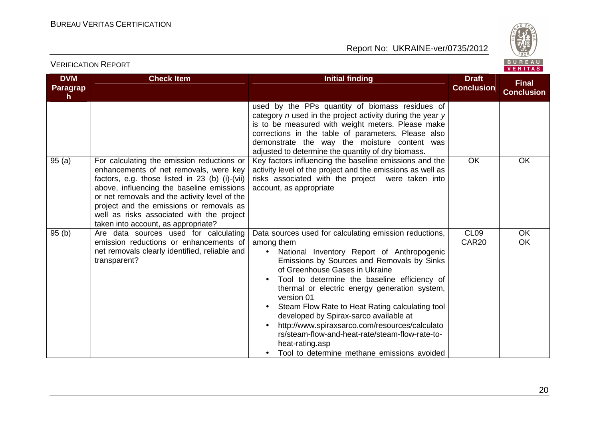

| <b>DVM</b><br>Paragrap | <b>Check Item</b>                                                                                                                                                                                                                                                                                                                                                    | <b>Initial finding</b>                                                                                                                                                                                                                                                                                                                                                                                                                                                                                                                                                                                                                    | <b>Draft</b><br><b>Conclusion</b>     | <b>Final</b><br><b>Conclusion</b> |
|------------------------|----------------------------------------------------------------------------------------------------------------------------------------------------------------------------------------------------------------------------------------------------------------------------------------------------------------------------------------------------------------------|-------------------------------------------------------------------------------------------------------------------------------------------------------------------------------------------------------------------------------------------------------------------------------------------------------------------------------------------------------------------------------------------------------------------------------------------------------------------------------------------------------------------------------------------------------------------------------------------------------------------------------------------|---------------------------------------|-----------------------------------|
| h                      |                                                                                                                                                                                                                                                                                                                                                                      | used by the PPs quantity of biomass residues of<br>category $n$ used in the project activity during the year $y$<br>is to be measured with weight meters. Please make<br>corrections in the table of parameters. Please also<br>demonstrate the way the moisture content was<br>adjusted to determine the quantity of dry biomass.                                                                                                                                                                                                                                                                                                        |                                       |                                   |
| 95(a)                  | For calculating the emission reductions or<br>enhancements of net removals, were key<br>factors, e.g. those listed in 23 (b) (i)-(vii)<br>above, influencing the baseline emissions<br>or net removals and the activity level of the<br>project and the emissions or removals as<br>well as risks associated with the project<br>taken into account, as appropriate? | Key factors influencing the baseline emissions and the<br>activity level of the project and the emissions as well as<br>risks associated with the project were taken into<br>account, as appropriate                                                                                                                                                                                                                                                                                                                                                                                                                                      | <b>OK</b>                             | <b>OK</b>                         |
| 95(b)                  | Are data sources used for calculating<br>emission reductions or enhancements of<br>net removals clearly identified, reliable and<br>transparent?                                                                                                                                                                                                                     | Data sources used for calculating emission reductions,<br>among them<br>National Inventory Report of Anthropogenic<br>$\bullet$<br>Emissions by Sources and Removals by Sinks<br>of Greenhouse Gases in Ukraine<br>Tool to determine the baseline efficiency of<br>thermal or electric energy generation system,<br>version 01<br>Steam Flow Rate to Heat Rating calculating tool<br>$\bullet$<br>developed by Spirax-sarco available at<br>http://www.spiraxsarco.com/resources/calculato<br>$\bullet$<br>rs/steam-flow-and-heat-rate/steam-flow-rate-to-<br>heat-rating.asp<br>Tool to determine methane emissions avoided<br>$\bullet$ | CL <sub>09</sub><br>CAR <sub>20</sub> | <b>OK</b><br><b>OK</b>            |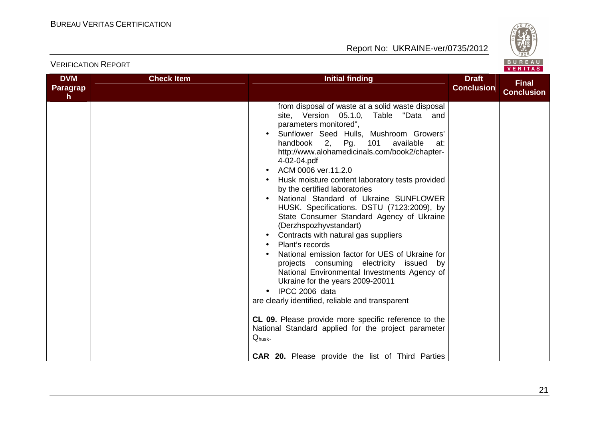

| <b>DVM</b><br><b>Paragrap</b><br>$\mathsf{h}$ | <b>Check Item</b> | <b>Initial finding</b>                                                                                                                                                                                                                                                                                                                                                                                                                                                                                                                                                                                                                                                                                                                                                                                                                                                                                                                                                                                                                                                                              | <b>Draft</b><br><b>Conclusion</b> | <b>Final</b><br><b>Conclusion</b> |
|-----------------------------------------------|-------------------|-----------------------------------------------------------------------------------------------------------------------------------------------------------------------------------------------------------------------------------------------------------------------------------------------------------------------------------------------------------------------------------------------------------------------------------------------------------------------------------------------------------------------------------------------------------------------------------------------------------------------------------------------------------------------------------------------------------------------------------------------------------------------------------------------------------------------------------------------------------------------------------------------------------------------------------------------------------------------------------------------------------------------------------------------------------------------------------------------------|-----------------------------------|-----------------------------------|
|                                               |                   | from disposal of waste at a solid waste disposal<br>site, Version 05.1.0, Table "Data and<br>parameters monitored",<br>Sunflower Seed Hulls, Mushroom Growers'<br>handbook<br>2 <sub>1</sub><br>Pg.<br>101<br>available<br>at:<br>http://www.alohamedicinals.com/book2/chapter-<br>4-02-04.pdf<br>ACM 0006 ver.11.2.0<br>Husk moisture content laboratory tests provided<br>by the certified laboratories<br>National Standard of Ukraine SUNFLOWER<br>HUSK. Specifications. DSTU (7123:2009), by<br>State Consumer Standard Agency of Ukraine<br>(Derzhspozhyvstandart)<br>Contracts with natural gas suppliers<br>$\bullet$<br>Plant's records<br>National emission factor for UES of Ukraine for<br>projects consuming electricity issued by<br>National Environmental Investments Agency of<br>Ukraine for the years 2009-20011<br>IPCC 2006 data<br>are clearly identified, reliable and transparent<br>CL 09. Please provide more specific reference to the<br>National Standard applied for the project parameter<br>$Q_{\text{husk}}$ .<br>CAR 20. Please provide the list of Third Parties |                                   |                                   |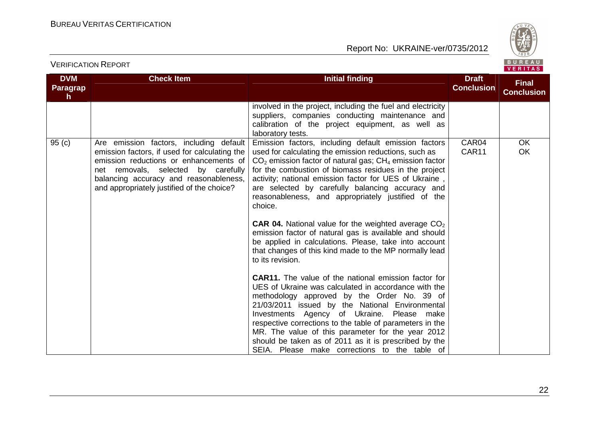

| <b>DVM</b><br>Paragrap | <b>Check Item</b>                                                                                                                                                                                                                                                 | <b>Initial finding</b>                                                                                                                                                                                                                                                                                                                                                                                                                                                                                                                                                                                                                                                                                                                                                                                                                                                                                                                                                                                                                                                                                                                                                                  | <b>Draft</b><br><b>Conclusion</b> | <b>Final</b><br><b>Conclusion</b> |
|------------------------|-------------------------------------------------------------------------------------------------------------------------------------------------------------------------------------------------------------------------------------------------------------------|-----------------------------------------------------------------------------------------------------------------------------------------------------------------------------------------------------------------------------------------------------------------------------------------------------------------------------------------------------------------------------------------------------------------------------------------------------------------------------------------------------------------------------------------------------------------------------------------------------------------------------------------------------------------------------------------------------------------------------------------------------------------------------------------------------------------------------------------------------------------------------------------------------------------------------------------------------------------------------------------------------------------------------------------------------------------------------------------------------------------------------------------------------------------------------------------|-----------------------------------|-----------------------------------|
| h.                     |                                                                                                                                                                                                                                                                   | involved in the project, including the fuel and electricity<br>suppliers, companies conducting maintenance and<br>calibration of the project equipment, as well as<br>laboratory tests.                                                                                                                                                                                                                                                                                                                                                                                                                                                                                                                                                                                                                                                                                                                                                                                                                                                                                                                                                                                                 |                                   |                                   |
| 95(c)                  | Are emission factors, including default<br>emission factors, if used for calculating the<br>emission reductions or enhancements of<br>net removals, selected by carefully<br>balancing accuracy and reasonableness,<br>and appropriately justified of the choice? | Emission factors, including default emission factors<br>used for calculating the emission reductions, such as<br>$CO2$ emission factor of natural gas; $CH4$ emission factor<br>for the combustion of biomass residues in the project<br>activity; national emission factor for UES of Ukraine,<br>are selected by carefully balancing accuracy and<br>reasonableness, and appropriately justified of the<br>choice.<br><b>CAR 04.</b> National value for the weighted average $CO2$<br>emission factor of natural gas is available and should<br>be applied in calculations. Please, take into account<br>that changes of this kind made to the MP normally lead<br>to its revision.<br><b>CAR11.</b> The value of the national emission factor for<br>UES of Ukraine was calculated in accordance with the<br>methodology approved by the Order No. 39 of<br>21/03/2011 issued by the National Environmental<br>Investments Agency of Ukraine. Please make<br>respective corrections to the table of parameters in the<br>MR. The value of this parameter for the year 2012<br>should be taken as of 2011 as it is prescribed by the<br>SEIA. Please make corrections to the table of | CAR04<br>CAR11                    | <b>OK</b><br><b>OK</b>            |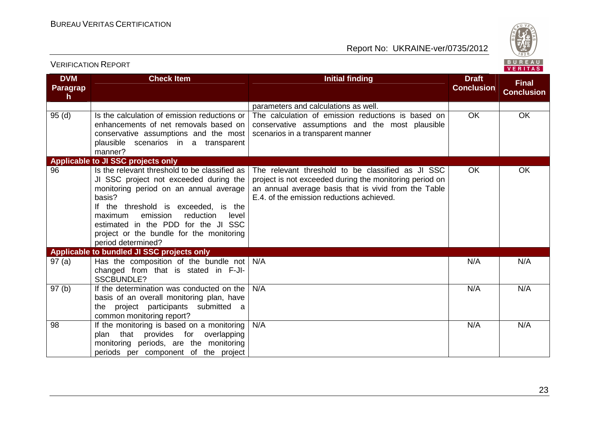Report No: UKRAINE-ver/0735/2012



#### **DVM ParagraphCheck Item Initial finding Draft Conclusion Final Conclusion**parameters and calculations as well. The calculation of emission reductions is based on 95 (d) Is the calculation of emission reductions or enhancements of net removals based on conservative assumptions and the most plausible scenarios in a transparent manner? **Applicable to JI SSC projects only** conservative assumptions and the most plausible scenarios in a transparent mannerOK**OK** 96 Is the relevant threshold to be classified as JI SSC project not exceeded during the monitoring period on an annual average basis? If the threshold is exceeded, is the level maximum emission reduction estimated in the PDD for the JI SSC project or the bundle for the monitoring period determined? **Applicable to bundled JI SSC projects only**The relevant threshold to be classified as JI SSC project is not exceeded during the monitoring period on an annual average basis that is vivid from the Table E.4. of the emission reductions achieved.OK OK 97 (a) | Has the composition of the bundle not | N/A changed from that is stated in F-JI-SSCBUNDLE?97 (b) If the determination was conducted on the A N/A N/A basis of an overall monitoring plan, have the project participants submitted a common monitoring report?98 **If the monitoring is based on a monitoring** N/AA N/A N/A plan that provides for overlapping monitoring periods, are the monitoring periods per component of the project N/AA N/A N/A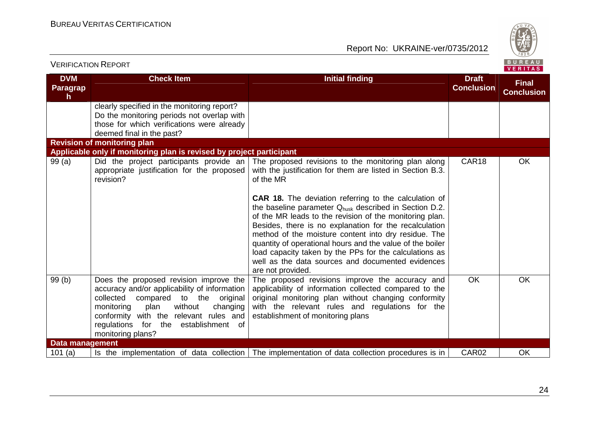

| <b>VERIFICATION REPORT</b>   |                                                                                                                                                                                                                                                                                           |                                                                                                                                                                                                                                                                                                                                                                                                                                                                                                                                                                                                                                                    |                                   | BUREAU<br>VERITAS                 |
|------------------------------|-------------------------------------------------------------------------------------------------------------------------------------------------------------------------------------------------------------------------------------------------------------------------------------------|----------------------------------------------------------------------------------------------------------------------------------------------------------------------------------------------------------------------------------------------------------------------------------------------------------------------------------------------------------------------------------------------------------------------------------------------------------------------------------------------------------------------------------------------------------------------------------------------------------------------------------------------------|-----------------------------------|-----------------------------------|
| <b>DVM</b><br>Paragrap<br>h. | <b>Check Item</b>                                                                                                                                                                                                                                                                         | <b>Initial finding</b>                                                                                                                                                                                                                                                                                                                                                                                                                                                                                                                                                                                                                             | <b>Draft</b><br><b>Conclusion</b> | <b>Final</b><br><b>Conclusion</b> |
|                              | clearly specified in the monitoring report?<br>Do the monitoring periods not overlap with<br>those for which verifications were already<br>deemed final in the past?                                                                                                                      |                                                                                                                                                                                                                                                                                                                                                                                                                                                                                                                                                                                                                                                    |                                   |                                   |
|                              | <b>Revision of monitoring plan</b>                                                                                                                                                                                                                                                        |                                                                                                                                                                                                                                                                                                                                                                                                                                                                                                                                                                                                                                                    |                                   |                                   |
| 99(a)                        | Applicable only if monitoring plan is revised by project participant<br>Did the project participants provide an<br>appropriate justification for the proposed<br>revision?                                                                                                                | The proposed revisions to the monitoring plan along<br>with the justification for them are listed in Section B.3.<br>of the MR<br><b>CAR 18.</b> The deviation referring to the calculation of<br>the baseline parameter Q <sub>husk</sub> described in Section D.2.<br>of the MR leads to the revision of the monitoring plan.<br>Besides, there is no explanation for the recalculation<br>method of the moisture content into dry residue. The<br>quantity of operational hours and the value of the boiler<br>load capacity taken by the PPs for the calculations as<br>well as the data sources and documented evidences<br>are not provided. | CAR18                             | <b>OK</b>                         |
| 99(b)                        | Does the proposed revision improve the<br>accuracy and/or applicability of information<br>collected<br>compared to the original<br>without<br>changing<br>monitoring<br>plan<br>conformity with the relevant rules and<br>regulations<br>for the<br>establishment of<br>monitoring plans? | The proposed revisions improve the accuracy and<br>applicability of information collected compared to the<br>original monitoring plan without changing conformity<br>with the relevant rules and regulations for the<br>establishment of monitoring plans                                                                                                                                                                                                                                                                                                                                                                                          | <b>OK</b>                         | <b>OK</b>                         |
| <b>Data management</b>       |                                                                                                                                                                                                                                                                                           |                                                                                                                                                                                                                                                                                                                                                                                                                                                                                                                                                                                                                                                    |                                   |                                   |
| 101(a)                       | Is the implementation of data collection                                                                                                                                                                                                                                                  | The implementation of data collection procedures is in                                                                                                                                                                                                                                                                                                                                                                                                                                                                                                                                                                                             | CAR02                             | OK                                |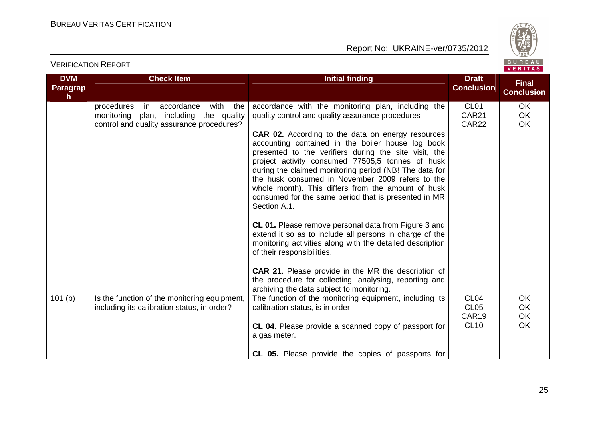Report No: UKRAINE-ver/0735/2012



**DVM ParagraphCheck Item Initial finding Draft Conclusion Final Conclusion**procedures in accordance with the monitoring plan, including the quality control and quality assurance procedures?accordance with the monitoring plan, including the quality control and quality assurance procedures**CAR 02.** According to the data on energy resources accounting contained in the boiler house log book presented to the verifiers during the site visit, the project activity consumed 77505,5 tonnes of husk during the claimed monitoring period (NB! The data for the husk consumed in November 2009 refers to the whole month). This differs from the amount of husk consumed for the same period that is presented in MR Section A.1.**CL 01.** Please remove personal data from Figure 3 and extend it so as to include all persons in charge of the monitoring activities along with the detailed description of their responsibilities.**CAR 21**. Please provide in the MR the description of the procedure for collecting, analysing, reporting and archiving the data subject to monitoring. The function of the monitoring equipment, including its CL01 CAR21 CAR22**OK**  OK OK101 (b) Is the function of the monitoring equipment, including its calibration status, in order?calibration status, is in order**CL 04.** Please provide a scanned copy of passport for a gas meter.**CL 05.** Please provide the copies of passports for CL04 CL05 CAR19 CL10**OK**  OK OKOK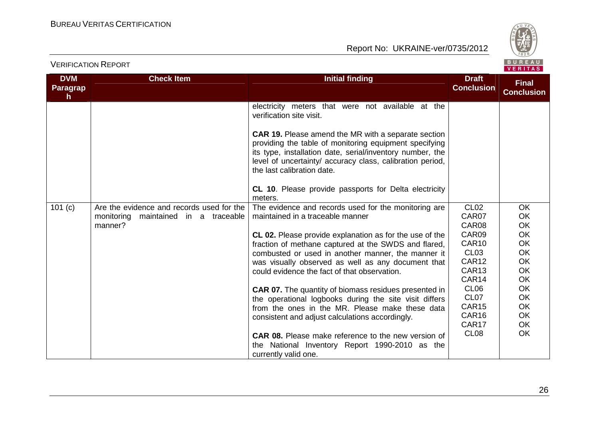

| <b>DVM</b>                      | <b>Check Item</b>                                                                               | <b>Initial finding</b>                                                                                                                                                                                                                                                                                                                                                                                                                                                                                                                                                                                                                                         | <b>Draft</b>                                                                                                                                                                                                       |                                                                                                                                                                     |  |
|---------------------------------|-------------------------------------------------------------------------------------------------|----------------------------------------------------------------------------------------------------------------------------------------------------------------------------------------------------------------------------------------------------------------------------------------------------------------------------------------------------------------------------------------------------------------------------------------------------------------------------------------------------------------------------------------------------------------------------------------------------------------------------------------------------------------|--------------------------------------------------------------------------------------------------------------------------------------------------------------------------------------------------------------------|---------------------------------------------------------------------------------------------------------------------------------------------------------------------|--|
| <b>Paragrap</b><br>$\mathsf{h}$ |                                                                                                 |                                                                                                                                                                                                                                                                                                                                                                                                                                                                                                                                                                                                                                                                | <b>Conclusion</b>                                                                                                                                                                                                  | <b>Final</b><br><b>Conclusion</b>                                                                                                                                   |  |
|                                 |                                                                                                 | electricity meters that were not available at the<br>verification site visit.<br>CAR 19. Please amend the MR with a separate section<br>providing the table of monitoring equipment specifying<br>its type, installation date, serial/inventory number, the<br>level of uncertainty/ accuracy class, calibration period,                                                                                                                                                                                                                                                                                                                                       |                                                                                                                                                                                                                    |                                                                                                                                                                     |  |
|                                 |                                                                                                 | the last calibration date.<br>CL 10. Please provide passports for Delta electricity<br>meters.                                                                                                                                                                                                                                                                                                                                                                                                                                                                                                                                                                 |                                                                                                                                                                                                                    |                                                                                                                                                                     |  |
| 101 (c)                         | Are the evidence and records used for the<br>maintained in a traceable<br>monitoring<br>manner? | The evidence and records used for the monitoring are<br>maintained in a traceable manner<br>CL 02. Please provide explanation as for the use of the<br>fraction of methane captured at the SWDS and flared,<br>combusted or used in another manner, the manner it<br>was visually observed as well as any document that<br>could evidence the fact of that observation.<br><b>CAR 07.</b> The quantity of biomass residues presented in<br>the operational logbooks during the site visit differs<br>from the ones in the MR. Please make these data<br>consistent and adjust calculations accordingly.<br>CAR 08. Please make reference to the new version of | CL <sub>02</sub><br>CAR07<br>CAR08<br>CAR09<br>CAR10<br>CL <sub>03</sub><br>CAR12<br>CAR <sub>13</sub><br>CAR14<br>CL <sub>06</sub><br>CL <sub>07</sub><br>CAR <sub>15</sub><br>CAR16<br>CAR17<br>CL <sub>08</sub> | <b>OK</b><br>OK<br><b>OK</b><br><b>OK</b><br>OK<br><b>OK</b><br><b>OK</b><br><b>OK</b><br><b>OK</b><br>OK<br><b>OK</b><br><b>OK</b><br><b>OK</b><br>OK<br><b>OK</b> |  |
|                                 |                                                                                                 | the National Inventory Report 1990-2010 as the<br>currently valid one.                                                                                                                                                                                                                                                                                                                                                                                                                                                                                                                                                                                         |                                                                                                                                                                                                                    |                                                                                                                                                                     |  |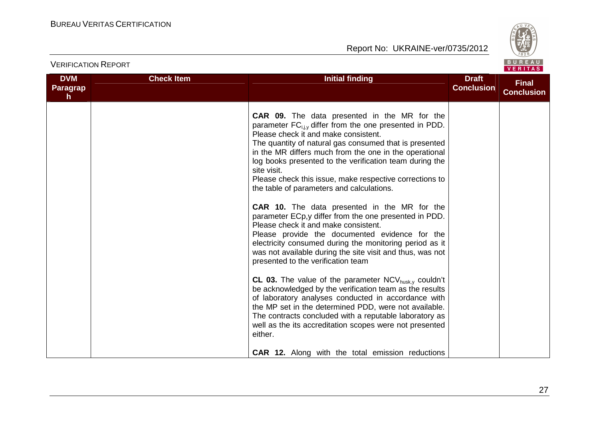

| <b>VERIFICATION REPORT</b>          |                   | BUREAU<br><b>VERITAS</b>                                                                                                                                                                                                                                                                                                                                                                                                                                                                                                                                                                                                                                                                                                                                                                                                                                                                                                                                                                                                                                                                                                                                                                                                                                                                  |                                   |                                   |  |  |
|-------------------------------------|-------------------|-------------------------------------------------------------------------------------------------------------------------------------------------------------------------------------------------------------------------------------------------------------------------------------------------------------------------------------------------------------------------------------------------------------------------------------------------------------------------------------------------------------------------------------------------------------------------------------------------------------------------------------------------------------------------------------------------------------------------------------------------------------------------------------------------------------------------------------------------------------------------------------------------------------------------------------------------------------------------------------------------------------------------------------------------------------------------------------------------------------------------------------------------------------------------------------------------------------------------------------------------------------------------------------------|-----------------------------------|-----------------------------------|--|--|
| <b>DVM</b><br><b>Paragrap</b><br>h. | <b>Check Item</b> | <b>Initial finding</b>                                                                                                                                                                                                                                                                                                                                                                                                                                                                                                                                                                                                                                                                                                                                                                                                                                                                                                                                                                                                                                                                                                                                                                                                                                                                    | <b>Draft</b><br><b>Conclusion</b> | <b>Final</b><br><b>Conclusion</b> |  |  |
|                                     |                   | <b>CAR 09.</b> The data presented in the MR for the<br>parameter FC <sub>i.iv</sub> differ from the one presented in PDD.<br>Please check it and make consistent.<br>The quantity of natural gas consumed that is presented<br>in the MR differs much from the one in the operational<br>log books presented to the verification team during the<br>site visit.<br>Please check this issue, make respective corrections to<br>the table of parameters and calculations.<br><b>CAR 10.</b> The data presented in the MR for the<br>parameter ECp,y differ from the one presented in PDD.<br>Please check it and make consistent.<br>Please provide the documented evidence for the<br>electricity consumed during the monitoring period as it<br>was not available during the site visit and thus, was not<br>presented to the verification team<br><b>CL 03.</b> The value of the parameter $NCV_{husk,y}$ couldn't<br>be acknowledged by the verification team as the results<br>of laboratory analyses conducted in accordance with<br>the MP set in the determined PDD, were not available.<br>The contracts concluded with a reputable laboratory as<br>well as the its accreditation scopes were not presented<br>either.<br><b>CAR 12.</b> Along with the total emission reductions |                                   |                                   |  |  |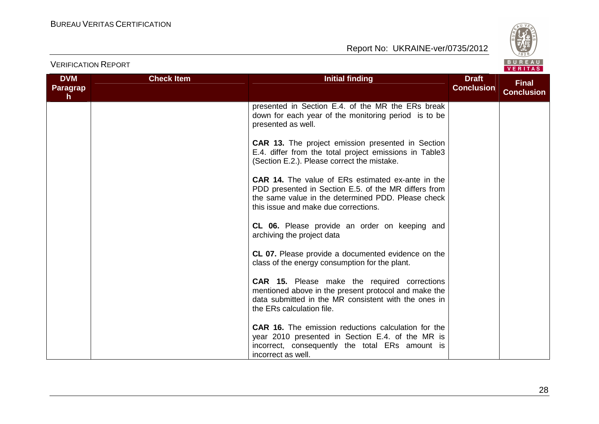

| <b>VERIFICATION REPORT</b>          |                   | BUREAU<br>VERITAS                                                                                                                                                                                              |                                   |                                   |  |  |
|-------------------------------------|-------------------|----------------------------------------------------------------------------------------------------------------------------------------------------------------------------------------------------------------|-----------------------------------|-----------------------------------|--|--|
| <b>DVM</b><br><b>Paragrap</b><br>h. | <b>Check Item</b> | <b>Initial finding</b>                                                                                                                                                                                         | <b>Draft</b><br><b>Conclusion</b> | <b>Final</b><br><b>Conclusion</b> |  |  |
|                                     |                   | presented in Section E.4. of the MR the ERs break<br>down for each year of the monitoring period is to be<br>presented as well.                                                                                |                                   |                                   |  |  |
|                                     |                   | <b>CAR 13.</b> The project emission presented in Section<br>E.4. differ from the total project emissions in Table3<br>(Section E.2.). Please correct the mistake.                                              |                                   |                                   |  |  |
|                                     |                   | <b>CAR 14.</b> The value of ERs estimated ex-ante in the<br>PDD presented in Section E.5. of the MR differs from<br>the same value in the determined PDD. Please check<br>this issue and make due corrections. |                                   |                                   |  |  |
|                                     |                   | CL 06. Please provide an order on keeping and<br>archiving the project data                                                                                                                                    |                                   |                                   |  |  |
|                                     |                   | <b>CL 07.</b> Please provide a documented evidence on the<br>class of the energy consumption for the plant.                                                                                                    |                                   |                                   |  |  |
|                                     |                   | <b>CAR 15.</b> Please make the required corrections<br>mentioned above in the present protocol and make the<br>data submitted in the MR consistent with the ones in<br>the ERs calculation file.               |                                   |                                   |  |  |
|                                     |                   | <b>CAR 16.</b> The emission reductions calculation for the<br>year 2010 presented in Section E.4. of the MR is<br>incorrect, consequently the total ERs amount is<br>incorrect as well.                        |                                   |                                   |  |  |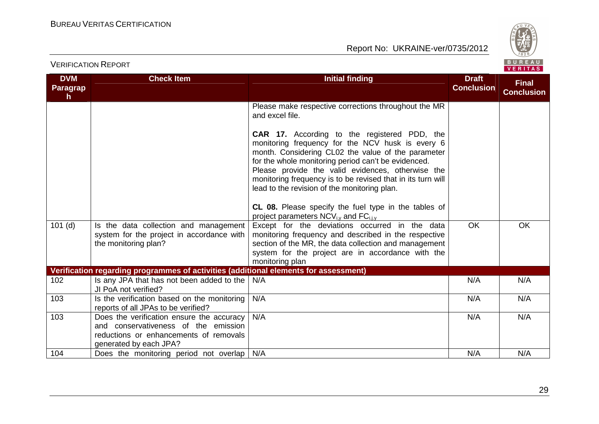

|                                     |                                                                                                                                                       |                                                                                                                                                                                                                                                                                                                                                                                                                                                  |                                   | VERIIAS.                          |
|-------------------------------------|-------------------------------------------------------------------------------------------------------------------------------------------------------|--------------------------------------------------------------------------------------------------------------------------------------------------------------------------------------------------------------------------------------------------------------------------------------------------------------------------------------------------------------------------------------------------------------------------------------------------|-----------------------------------|-----------------------------------|
| <b>DVM</b><br><b>Paragrap</b><br>h. | <b>Check Item</b>                                                                                                                                     | <b>Initial finding</b>                                                                                                                                                                                                                                                                                                                                                                                                                           | <b>Draft</b><br><b>Conclusion</b> | <b>Final</b><br><b>Conclusion</b> |
|                                     |                                                                                                                                                       | Please make respective corrections throughout the MR<br>and excel file.                                                                                                                                                                                                                                                                                                                                                                          |                                   |                                   |
|                                     |                                                                                                                                                       | <b>CAR 17.</b> According to the registered PDD, the<br>monitoring frequency for the NCV husk is every 6<br>month. Considering CL02 the value of the parameter<br>for the whole monitoring period can't be evidenced.<br>Please provide the valid evidences, otherwise the<br>monitoring frequency is to be revised that in its turn will<br>lead to the revision of the monitoring plan.<br>CL 08. Please specify the fuel type in the tables of |                                   |                                   |
| $101$ (d)                           | Is the data collection and management<br>system for the project in accordance with<br>the monitoring plan?                                            | project parameters $NCV_{i,y}$ and $FC_{i,j,y}$<br>Except for the deviations occurred in the data<br>monitoring frequency and described in the respective<br>section of the MR, the data collection and management<br>system for the project are in accordance with the<br>monitoring plan                                                                                                                                                       | <b>OK</b>                         | <b>OK</b>                         |
|                                     | Verification regarding programmes of activities (additional elements for assessment)                                                                  |                                                                                                                                                                                                                                                                                                                                                                                                                                                  |                                   |                                   |
| 102                                 | Is any JPA that has not been added to the<br>JI PoA not verified?                                                                                     | N/A                                                                                                                                                                                                                                                                                                                                                                                                                                              | N/A                               | N/A                               |
| 103                                 | Is the verification based on the monitoring<br>reports of all JPAs to be verified?                                                                    | N/A                                                                                                                                                                                                                                                                                                                                                                                                                                              | N/A                               | N/A                               |
| 103                                 | Does the verification ensure the accuracy<br>and conservativeness of the emission<br>reductions or enhancements of removals<br>generated by each JPA? | N/A                                                                                                                                                                                                                                                                                                                                                                                                                                              | N/A                               | N/A                               |
| 104                                 | Does the monitoring period not overlap                                                                                                                | N/A                                                                                                                                                                                                                                                                                                                                                                                                                                              | N/A                               | N/A                               |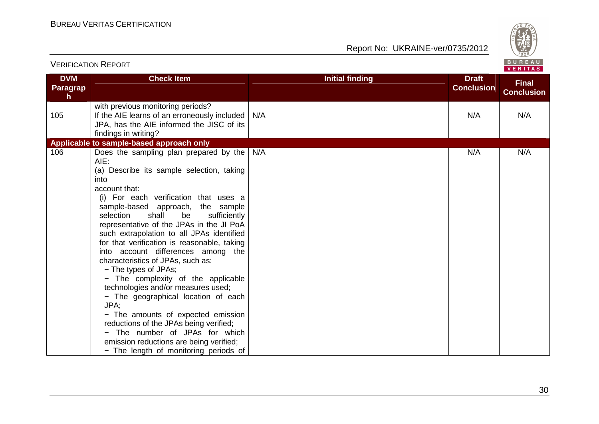

| <b>DVM</b><br>Paragrap<br>h. | <b>Check Item</b>                                                                                                                                                                                                                                                                                                                                                                                                                                                                                                                                                                                                                                                                                                                                                                                                          | <b>Initial finding</b> | <b>Draft</b><br><b>Conclusion</b> | <b>Final</b><br><b>Conclusion</b> |
|------------------------------|----------------------------------------------------------------------------------------------------------------------------------------------------------------------------------------------------------------------------------------------------------------------------------------------------------------------------------------------------------------------------------------------------------------------------------------------------------------------------------------------------------------------------------------------------------------------------------------------------------------------------------------------------------------------------------------------------------------------------------------------------------------------------------------------------------------------------|------------------------|-----------------------------------|-----------------------------------|
| 105                          | with previous monitoring periods?<br>If the AIE learns of an erroneously included                                                                                                                                                                                                                                                                                                                                                                                                                                                                                                                                                                                                                                                                                                                                          | N/A                    | N/A                               | N/A                               |
|                              | JPA, has the AIE informed the JISC of its<br>findings in writing?                                                                                                                                                                                                                                                                                                                                                                                                                                                                                                                                                                                                                                                                                                                                                          |                        |                                   |                                   |
|                              | Applicable to sample-based approach only                                                                                                                                                                                                                                                                                                                                                                                                                                                                                                                                                                                                                                                                                                                                                                                   |                        |                                   |                                   |
| 106                          | Does the sampling plan prepared by the<br>AIE:<br>(a) Describe its sample selection, taking<br>into<br>account that:<br>(i) For each verification that uses a<br>sample-based approach, the sample<br>shall<br>selection<br>be<br>sufficiently<br>representative of the JPAs in the JI PoA<br>such extrapolation to all JPAs identified<br>for that verification is reasonable, taking<br>into account differences among the<br>characteristics of JPAs, such as:<br>- The types of JPAs;<br>- The complexity of the applicable<br>technologies and/or measures used;<br>- The geographical location of each<br>JPA:<br>- The amounts of expected emission<br>reductions of the JPAs being verified;<br>- The number of JPAs for which<br>emission reductions are being verified;<br>- The length of monitoring periods of | N/A                    | N/A                               | N/A                               |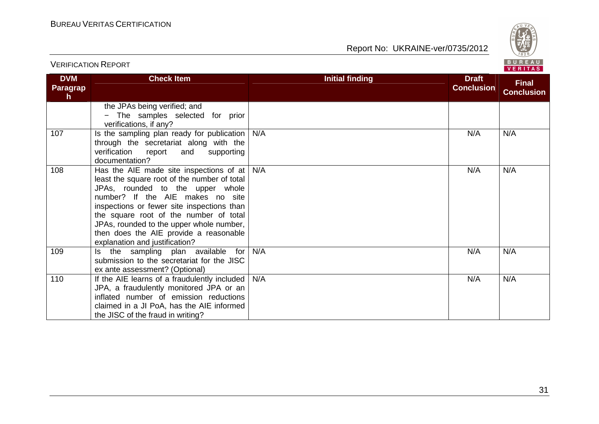

| <b>DVM</b>            | <b>Check Item</b>                                                                                                                                                                                                                                                                                                                                                                   | <b>Initial finding</b> | <b>Draft</b>      |                                   |
|-----------------------|-------------------------------------------------------------------------------------------------------------------------------------------------------------------------------------------------------------------------------------------------------------------------------------------------------------------------------------------------------------------------------------|------------------------|-------------------|-----------------------------------|
| <b>Paragrap</b><br>h. |                                                                                                                                                                                                                                                                                                                                                                                     |                        | <b>Conclusion</b> | <b>Final</b><br><b>Conclusion</b> |
|                       | the JPAs being verified; and<br>- The samples selected for prior<br>verifications, if any?                                                                                                                                                                                                                                                                                          |                        |                   |                                   |
| 107                   | Is the sampling plan ready for publication<br>through the secretariat along with the<br>verification<br>supporting<br>report<br>and<br>documentation?                                                                                                                                                                                                                               | N/A                    | N/A               | N/A                               |
| 108                   | Has the AIE made site inspections of at $ $<br>least the square root of the number of total<br>JPAs, rounded to the upper whole<br>number? If the AIE makes no site<br>inspections or fewer site inspections than<br>the square root of the number of total<br>JPAs, rounded to the upper whole number,<br>then does the AIE provide a reasonable<br>explanation and justification? | N/A                    | N/A               | N/A                               |
| 109                   | the sampling plan available for<br>Is.<br>submission to the secretariat for the JISC<br>ex ante assessment? (Optional)                                                                                                                                                                                                                                                              | N/A                    | N/A               | N/A                               |
| 110                   | If the AIE learns of a fraudulently included  <br>JPA, a fraudulently monitored JPA or an<br>inflated number of emission reductions<br>claimed in a JI PoA, has the AIE informed<br>the JISC of the fraud in writing?                                                                                                                                                               | N/A                    | N/A               | N/A                               |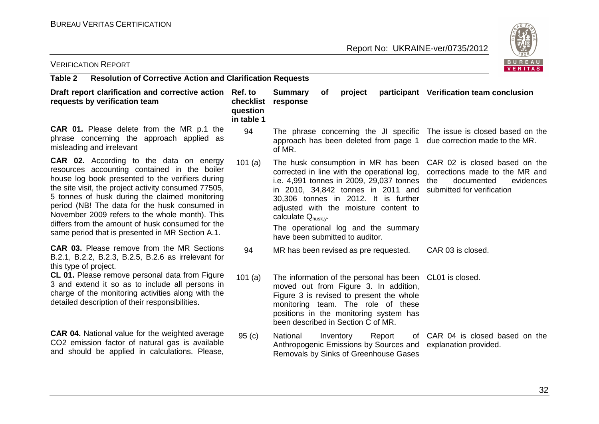

| <b>VERIFICATION REPORT</b>                                                                                                                                                                                                                                                                                                                                                                                                                                       |                                     |                                                                                                                                                                                                                                                                    |           |         |                                                                                 | B U R E A U<br>VERITAS                                                                                                          |
|------------------------------------------------------------------------------------------------------------------------------------------------------------------------------------------------------------------------------------------------------------------------------------------------------------------------------------------------------------------------------------------------------------------------------------------------------------------|-------------------------------------|--------------------------------------------------------------------------------------------------------------------------------------------------------------------------------------------------------------------------------------------------------------------|-----------|---------|---------------------------------------------------------------------------------|---------------------------------------------------------------------------------------------------------------------------------|
| Table 2<br><b>Resolution of Corrective Action and Clarification Requests</b>                                                                                                                                                                                                                                                                                                                                                                                     |                                     |                                                                                                                                                                                                                                                                    |           |         |                                                                                 |                                                                                                                                 |
| Draft report clarification and corrective action Ref. to<br>requests by verification team                                                                                                                                                                                                                                                                                                                                                                        | checklist<br>question<br>in table 1 | <b>Summary</b><br>response                                                                                                                                                                                                                                         | 0f        | project |                                                                                 | participant Verification team conclusion                                                                                        |
| <b>CAR 01.</b> Please delete from the MR p.1 the<br>phrase concerning the approach applied as<br>misleading and irrelevant                                                                                                                                                                                                                                                                                                                                       | 94                                  | of MR.                                                                                                                                                                                                                                                             |           |         | approach has been deleted from page 1                                           | The phrase concerning the JI specific The issue is closed based on the<br>due correction made to the MR.                        |
| CAR 02. According to the data on energy<br>resources accounting contained in the boiler<br>house log book presented to the verifiers during<br>the site visit, the project activity consumed 77505,<br>5 tonnes of husk during the claimed monitoring<br>period (NB! The data for the husk consumed in<br>November 2009 refers to the whole month). This<br>differs from the amount of husk consumed for the<br>same period that is presented in MR Section A.1. | 101(a)                              | corrected in line with the operational log,<br>in 2010, 34,842 tonnes in 2011 and<br>30,306 tonnes in 2012. It is further<br>adjusted with the moisture content to<br>calculate Qhusk.y.<br>The operational log and the summary<br>have been submitted to auditor. |           |         | The husk consumption in MR has been<br>i.e. 4,991 tonnes in 2009, 29,037 tonnes | CAR 02 is closed based on the<br>corrections made to the MR and<br>the<br>documented<br>evidences<br>submitted for verification |
| <b>CAR 03.</b> Please remove from the MR Sections<br>B.2.1, B.2.2, B.2.3, B.2.5, B.2.6 as irrelevant for<br>this type of project.                                                                                                                                                                                                                                                                                                                                | 94                                  | MR has been revised as pre requested.                                                                                                                                                                                                                              |           |         |                                                                                 | CAR 03 is closed.                                                                                                               |
| CL 01. Please remove personal data from Figure<br>3 and extend it so as to include all persons in<br>charge of the monitoring activities along with the<br>detailed description of their responsibilities.                                                                                                                                                                                                                                                       | 101(a)                              | moved out from Figure 3. In addition,<br>Figure 3 is revised to present the whole<br>monitoring team. The role of these<br>positions in the monitoring system has<br>been described in Section C of MR.                                                            |           |         |                                                                                 | The information of the personal has been CL01 is closed.                                                                        |
| <b>CAR 04.</b> National value for the weighted average<br>CO2 emission factor of natural gas is available<br>and should be applied in calculations. Please,                                                                                                                                                                                                                                                                                                      | 95(c)                               | National<br>Removals by Sinks of Greenhouse Gases                                                                                                                                                                                                                  | Inventory |         | Report                                                                          | of CAR 04 is closed based on the<br>Anthropogenic Emissions by Sources and explanation provided.                                |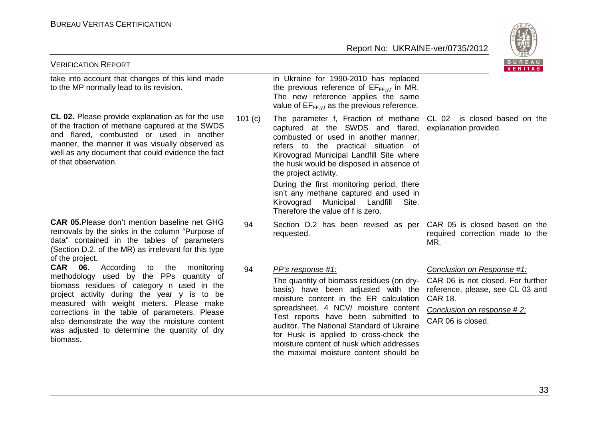#### BUREAU VERITAS CERTIFICATION



| <b>VERIFICATION REPORT</b>                                                                                                                                                                                                                                                                                                                                                                                     |         |                                                                                                                                                                                                                                                                                                                                                                                                            | B U K E A U  <br>VERITAS                                                                                                                                                 |
|----------------------------------------------------------------------------------------------------------------------------------------------------------------------------------------------------------------------------------------------------------------------------------------------------------------------------------------------------------------------------------------------------------------|---------|------------------------------------------------------------------------------------------------------------------------------------------------------------------------------------------------------------------------------------------------------------------------------------------------------------------------------------------------------------------------------------------------------------|--------------------------------------------------------------------------------------------------------------------------------------------------------------------------|
| take into account that changes of this kind made<br>to the MP normally lead to its revision.                                                                                                                                                                                                                                                                                                                   |         | in Ukraine for 1990-2010 has replaced<br>the previous reference of $EF_{FF,y,f}$ in MR.<br>The new reference applies the same<br>value of $E_{FF,y,f}$ as the previous reference.                                                                                                                                                                                                                          |                                                                                                                                                                          |
| <b>CL 02.</b> Please provide explanation as for the use<br>of the fraction of methane captured at the SWDS<br>and flared, combusted or used in another<br>manner, the manner it was visually observed as<br>well as any document that could evidence the fact<br>of that observation.                                                                                                                          | 101 (c) | The parameter f, Fraction of methane CL 02 is closed based on the<br>captured at the SWDS and flared,<br>combusted or used in another manner,<br>refers to the practical situation of<br>Kirovograd Municipal Landfill Site where<br>the husk would be disposed in absence of<br>the project activity.                                                                                                     | explanation provided.                                                                                                                                                    |
|                                                                                                                                                                                                                                                                                                                                                                                                                |         | During the first monitoring period, there<br>isn't any methane captured and used in<br>Kirovograd Municipal Landfill<br>Site.<br>Therefore the value of f is zero.                                                                                                                                                                                                                                         |                                                                                                                                                                          |
| <b>CAR 05. Please don't mention baseline net GHG</b><br>removals by the sinks in the column "Purpose of<br>data" contained in the tables of parameters<br>(Section D.2. of the MR) as irrelevant for this type<br>of the project.                                                                                                                                                                              | 94      | Section D.2 has been revised as per CAR 05 is closed based on the<br>requested.                                                                                                                                                                                                                                                                                                                            | required correction made to the<br>MR.                                                                                                                                   |
| <b>CAR</b><br><b>06.</b> According<br>to the<br>monitoring<br>methodology used by the PPs quantity of<br>biomass residues of category n used in the<br>project activity during the year y is to be<br>measured with weight meters. Please make<br>corrections in the table of parameters. Please<br>also demonstrate the way the moisture content<br>was adjusted to determine the quantity of dry<br>biomass. | 94      | PP's response #1:<br>The quantity of biomass residues (on dry-<br>basis) have been adjusted with the<br>moisture content in the ER calculation<br>spreadsheet. 4 NCV/ moisture content<br>Test reports have been submitted to<br>auditor. The National Standard of Ukraine<br>for Husk is applied to cross-check the<br>moisture content of husk which addresses<br>the maximal moisture content should be | Conclusion on Response #1:<br>CAR 06 is not closed. For further<br>reference, please, see CL 03 and<br><b>CAR 18.</b><br>Conclusion on response #2:<br>CAR 06 is closed. |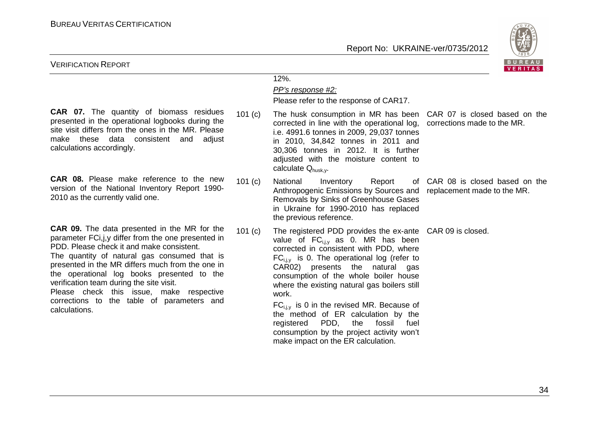

#### VERIFICATION REPORT

**CAR 07.** The quantity of biomass residues presented in the operational logbooks during the site visit differs from the ones in the MR. Please make these data consistent and adjust calculations accordingly.

**CAR 08.** Please make reference to the new version of the National Inventory Report 1990-2010 as the currently valid one.101 (c)

**CAR 09.** The data presented in the MR for the parameter FCi,j,y differ from the one presented in PDD. Please check it and make consistent.

 The quantity of natural gas consumed that is presented in the MR differs much from the one in the operational log books presented to the verification team during the site visit.

 Please check this issue, make respective corrections to the table of parameters and calculations.

## 12%.

#### PP's response #2:

Please refer to the response of CAR17.

101 (c) The husk consumption in MR has been CAR 07 is closed based on the corrected in line with the operational log, corrections made to the MR. i.e. 4991.6 tonnes in 2009, 29,037 tonnes in 2010, 34,842 tonnes in 2011 and 30,306 tonnes in 2012. It is further adjusted with the moisture content to calculate Q<sub>husk</sub>,

National Inventory Report Anthropogenic Emissions by Sources and replacement made to the MR. Removals by Sinks of Greenhouse Gases in Ukraine for 1990-2010 has replaced the previous reference.

101 (c) The registered PDD provides the ex-ante CAR 09 is closed.value of  $FC_{i,i,v}$  as 0. MR has been corrected in consistent with PDD, where  $FC_{i,j,y}$  is 0. The operational log (refer to CAR02) presents the natural gas consumption of the whole boiler house where the existing natural gas boilers still work.

 $FC_{i,i,v}$  is 0 in the revised MR. Because of the method of ER calculation by the registered PDD, the fossil fuel consumption by the project activity won't make impact on the ER calculation.

CAR 08 is closed based on the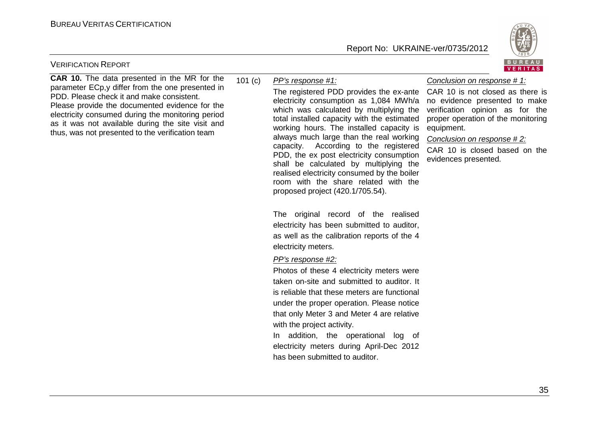

#### VERIFICATION REPORT

**CAR 10.** The data presented in the MR for the parameter ECp,y differ from the one presented in PDD. Please check it and make consistent. Please provide the documented evidence for the electricity consumed during the monitoring period as it was not available during the site visit and thus, was not presented to the verification team

#### 101 (c)PP's response #1:

The registered PDD provides the ex-ante CAR 10 is not closed as there is electricity consumption as 1,084 MWh/a which was calculated by multiplying the total installed capacity with the estimated working hours. The installed capacity is always much large than the real working capacity. According to the registered PDD, the ex post electricity consumption shall be calculated by multiplying the realised electricity consumed by the boiler room with the share related with the proposed project (420.1/705.54).

The original record of the realised electricity has been submitted to auditor, as well as the calibration reports of the 4 electricity meters.

PP's response #2:

Photos of these 4 electricity meters were taken on-site and submitted to auditor. It is reliable that these meters are functional under the proper operation. Please notice that only Meter 3 and Meter 4 are relative with the project activity.

In addition, the operational log of electricity meters during April-Dec 2012 has been submitted to auditor.

#### Conclusion on response # 1:

 no evidence presented to make verification opinion as for the proper operation of the monitoring equipment.

#### Conclusion on response # 2:

CAR 10 is closed based on the evidences presented.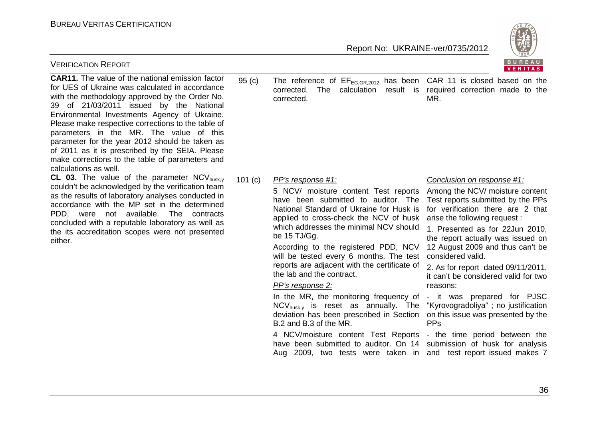

| <b>CAR11.</b> The value of the national emission factor<br>for UES of Ukraine was calculated in accordance<br>with the methodology approved by the Order No.<br>of 21/03/2011 issued by the National<br>39<br>Environmental Investments Agency of Ukraine.<br>Please make respective corrections to the table of<br>parameters in the MR. The value of this<br>parameter for the year 2012 should be taken as<br>of 2011 as it is prescribed by the SEIA. Please<br>make corrections to the table of parameters and<br>calculations as well. | 95 <sub>(c)</sub> | The reference of $EF_{EG,GR, 2012}$ has been CAR 11 is closed based on the<br>corrected.<br>The<br>calculation<br>corrected.                                                                                                                                                                                                                                                                                                                                                                                                                                                                                                                                                                                                                         | result is required correction made to the<br>MR.                                                                                                                                                                                                                                                                                                                                                                                                                                                                                                                                                 |
|----------------------------------------------------------------------------------------------------------------------------------------------------------------------------------------------------------------------------------------------------------------------------------------------------------------------------------------------------------------------------------------------------------------------------------------------------------------------------------------------------------------------------------------------|-------------------|------------------------------------------------------------------------------------------------------------------------------------------------------------------------------------------------------------------------------------------------------------------------------------------------------------------------------------------------------------------------------------------------------------------------------------------------------------------------------------------------------------------------------------------------------------------------------------------------------------------------------------------------------------------------------------------------------------------------------------------------------|--------------------------------------------------------------------------------------------------------------------------------------------------------------------------------------------------------------------------------------------------------------------------------------------------------------------------------------------------------------------------------------------------------------------------------------------------------------------------------------------------------------------------------------------------------------------------------------------------|
| CL 03. The value of the parameter $NCV_{husk,y}$<br>couldn't be acknowledged by the verification team<br>as the results of laboratory analyses conducted in<br>accordance with the MP set in the determined<br>PDD, were not available. The contracts<br>concluded with a reputable laboratory as well as<br>the its accreditation scopes were not presented<br>either.                                                                                                                                                                      | 101 (c)           | PP's response #1:<br>5 NCV/ moisture content Test reports<br>have been submitted to auditor. The<br>National Standard of Ukraine for Husk is<br>applied to cross-check the NCV of husk<br>which addresses the minimal NCV should<br>be 15 TJ/Gg.<br>According to the registered PDD, NCV<br>will be tested every 6 months. The test<br>reports are adjacent with the certificate of<br>the lab and the contract.<br>PP's response 2:<br>In the MR, the monitoring frequency of<br>$NCV_{husk,v}$ is reset as annually. The<br>deviation has been prescribed in Section<br>B.2 and B.3 of the MR.<br>4 NCV/moisture content Test Reports<br>have been submitted to auditor. On 14<br>Aug 2009, two tests were taken in and test report issued makes 7 | Conclusion on response #1:<br>Among the NCV/ moisture content<br>Test reports submitted by the PPs<br>for verification there are 2 that<br>arise the following request :<br>1. Presented as for 22Jun 2010,<br>the report actually was issued on<br>12 August 2009 and thus can't be<br>considered valid.<br>2. As for report dated 09/11/2011,<br>it can't be considered valid for two<br>reasons:<br>- it was prepared for PJSC<br>"Kyrovogradoliya"; no justification<br>on this issue was presented by the<br><b>PPs</b><br>- the time period between the<br>submission of husk for analysis |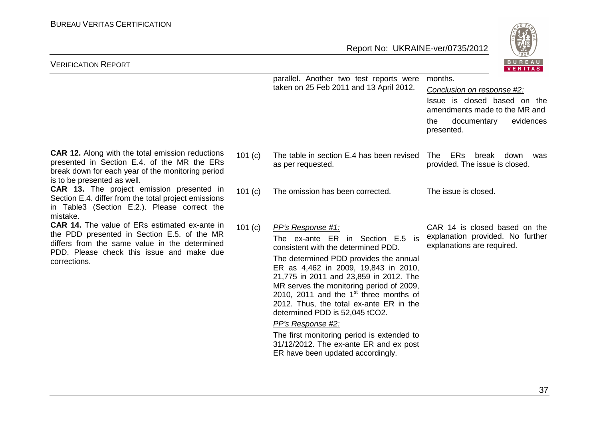

| <b>VERIFICATION REPORT</b>                                                                                                                                                                                        |           |                                                                                                                                                                                                                                                                                                                                                                                                                                                                                                                                                 | $P_{0}$ $P_{1}$ $P_{2}$<br>VERITAS                                                                                                                      |
|-------------------------------------------------------------------------------------------------------------------------------------------------------------------------------------------------------------------|-----------|-------------------------------------------------------------------------------------------------------------------------------------------------------------------------------------------------------------------------------------------------------------------------------------------------------------------------------------------------------------------------------------------------------------------------------------------------------------------------------------------------------------------------------------------------|---------------------------------------------------------------------------------------------------------------------------------------------------------|
|                                                                                                                                                                                                                   |           | parallel. Another two test reports were<br>taken on 25 Feb 2011 and 13 April 2012.                                                                                                                                                                                                                                                                                                                                                                                                                                                              | months.<br>Conclusion on response #2:<br>Issue is closed based on the<br>amendments made to the MR and<br>documentary<br>evidences<br>the<br>presented. |
| <b>CAR 12.</b> Along with the total emission reductions<br>presented in Section E.4. of the MR the ERs<br>break down for each year of the monitoring period<br>is to be presented as well.                        | 101 $(c)$ | The table in section E.4 has been revised<br>as per requested.                                                                                                                                                                                                                                                                                                                                                                                                                                                                                  | The ERs<br>break<br>down<br>was<br>provided. The issue is closed.                                                                                       |
| <b>CAR 13.</b> The project emission presented in<br>Section E.4. differ from the total project emissions<br>in Table3 (Section E.2.). Please correct the<br>mistake.                                              | 101 $(c)$ | The omission has been corrected.                                                                                                                                                                                                                                                                                                                                                                                                                                                                                                                | The issue is closed.                                                                                                                                    |
| <b>CAR 14.</b> The value of ERs estimated ex-ante in<br>the PDD presented in Section E.5. of the MR<br>differs from the same value in the determined<br>PDD. Please check this issue and make due<br>corrections. | 101 $(c)$ | PP's Response #1:<br>The ex-ante ER in Section E.5 is<br>consistent with the determined PDD.<br>The determined PDD provides the annual<br>ER as 4,462 in 2009, 19,843 in 2010,<br>21,775 in 2011 and 23,859 in 2012. The<br>MR serves the monitoring period of 2009,<br>2010, 2011 and the $1st$ three months of<br>2012. Thus, the total ex-ante ER in the<br>determined PDD is 52,045 tCO2.<br>PP's Response #2:<br>The first monitoring period is extended to<br>31/12/2012. The ex-ante ER and ex post<br>ER have been updated accordingly. | CAR 14 is closed based on the<br>explanation provided. No further<br>explanations are required.                                                         |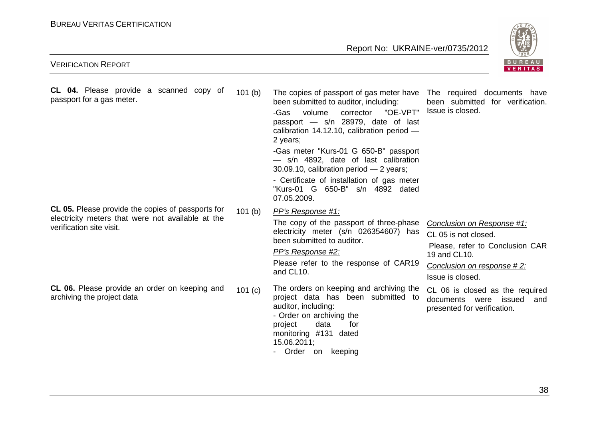

| <b>CL 04.</b> Please provide a scanned copy of<br>passport for a gas meter.                                                        | 101 <sub>(b)</sub> | The copies of passport of gas meter have  The required  documents  have<br>been submitted to auditor, including:<br>"OE-VPT"<br>volume<br>-Gas<br>corrector<br>passport - s/n 28979, date of last<br>calibration $14.12.10$ , calibration period $-$<br>2 years;<br>-Gas meter "Kurs-01 G 650-B" passport<br>- s/n 4892, date of last calibration<br>30.09.10, calibration period $-2$ years;<br>- Certificate of installation of gas meter<br>"Kurs-01 G 650-B" s/n 4892 dated<br>07.05.2009. | been submitted for verification.<br>Issue is closed.                                                                                                    |
|------------------------------------------------------------------------------------------------------------------------------------|--------------------|------------------------------------------------------------------------------------------------------------------------------------------------------------------------------------------------------------------------------------------------------------------------------------------------------------------------------------------------------------------------------------------------------------------------------------------------------------------------------------------------|---------------------------------------------------------------------------------------------------------------------------------------------------------|
| CL 05. Please provide the copies of passports for<br>electricity meters that were not available at the<br>verification site visit. | 101(b)             | PP's Response #1:<br>The copy of the passport of three-phase<br>electricity meter (s/n 026354607) has<br>been submitted to auditor.<br>PP's Response #2:<br>Please refer to the response of CAR19<br>and CL10.                                                                                                                                                                                                                                                                                 | Conclusion on Response #1:<br>CL 05 is not closed.<br>Please, refer to Conclusion CAR<br>19 and CL10.<br>Conclusion on response #2:<br>Issue is closed. |
| <b>CL 06.</b> Please provide an order on keeping and<br>archiving the project data                                                 | 101 $(c)$          | The orders on keeping and archiving the<br>project data has been submitted to<br>auditor, including:<br>- Order on archiving the<br>data<br>for<br>project<br>monitoring #131<br>dated<br>15.06.2011;<br>Order on<br>keeping<br>$\blacksquare$                                                                                                                                                                                                                                                 | CL 06 is closed as the required<br>documents were issued<br>and<br>presented for verification.                                                          |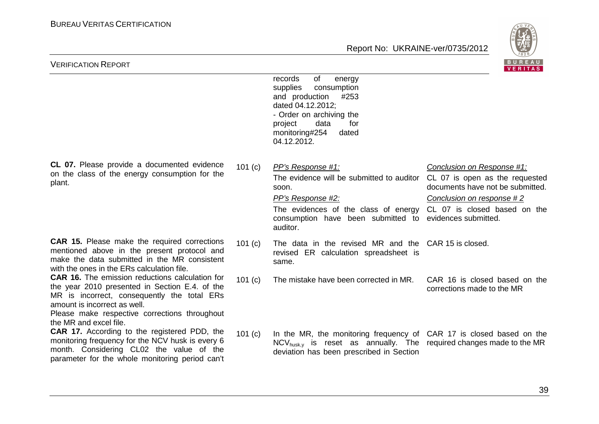

| <b>VERIFICATION REPORT</b>                                                                                                                                                                                                                                         |           |                                                                                                                                                                                                                                                                         | BUREAU<br><b>VERITAS</b>                                                                    |
|--------------------------------------------------------------------------------------------------------------------------------------------------------------------------------------------------------------------------------------------------------------------|-----------|-------------------------------------------------------------------------------------------------------------------------------------------------------------------------------------------------------------------------------------------------------------------------|---------------------------------------------------------------------------------------------|
|                                                                                                                                                                                                                                                                    |           | of<br>records<br>energy<br>supplies<br>consumption<br>and production<br>#253<br>dated 04.12.2012;<br>- Order on archiving the<br>data<br>for<br>project<br>monitoring#254<br>dated<br>04.12.2012.                                                                       |                                                                                             |
| CL 07. Please provide a documented evidence<br>on the class of the energy consumption for the<br>plant.                                                                                                                                                            | 101 $(c)$ | PP's Response #1:<br>The evidence will be submitted to auditor CL 07 is open as the requested<br>soon.<br>PP's Response #2:<br>The evidences of the class of energy CL 07 is closed based on the<br>consumption have been submitted to evidences submitted.<br>auditor. | Conclusion on Response #1:<br>documents have not be submitted.<br>Conclusion on response #2 |
| <b>CAR 15.</b> Please make the required corrections<br>mentioned above in the present protocol and<br>make the data submitted in the MR consistent<br>with the ones in the ERs calculation file.                                                                   | 101 (c)   | The data in the revised MR and the CAR 15 is closed.<br>revised ER calculation spreadsheet is<br>same.                                                                                                                                                                  |                                                                                             |
| <b>CAR 16.</b> The emission reductions calculation for<br>the year 2010 presented in Section E.4. of the<br>MR is incorrect, consequently the total ERs<br>amount is incorrect as well.<br>Please make respective corrections throughout<br>the MR and excel file. | 101 $(c)$ | The mistake have been corrected in MR.                                                                                                                                                                                                                                  | CAR 16 is closed based on the<br>corrections made to the MR                                 |
| <b>CAR 17.</b> According to the registered PDD, the<br>monitoring frequency for the NCV husk is every 6<br>month. Considering CL02 the value of the<br>parameter for the whole monitoring period can't                                                             | 101 $(c)$ | In the MR, the monitoring frequency of CAR 17 is closed based on the<br>$NCV_{husk,v}$ is reset as annually. The required changes made to the MR<br>deviation has been prescribed in Section                                                                            |                                                                                             |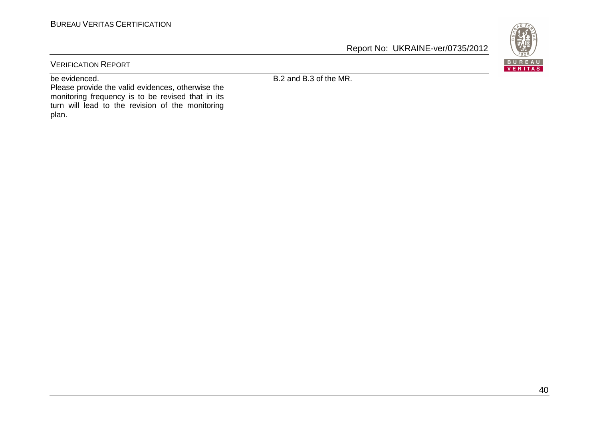

VERIFICATION REPORT

be evidenced.

B.2 and B.3 of the MR.

 Please provide the valid evidences, otherwise the monitoring frequency is to be revised that in its turn will lead to the revision of the monitoring plan.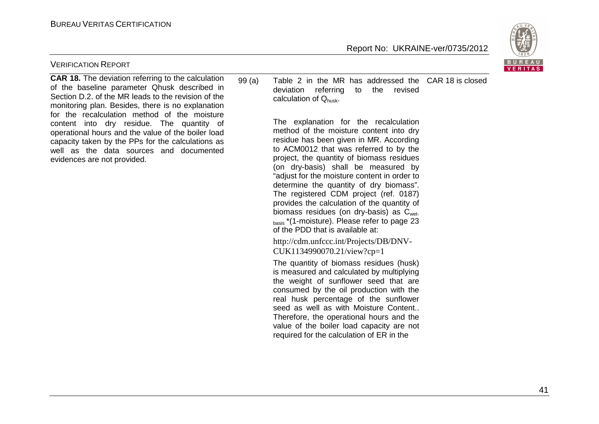

#### VERIFICATION REPORT

**CAR 18.** The deviation referring to the calculation of the baseline parameter Qhusk described in Section D.2. of the MR leads to the revision of the monitoring plan. Besides, there is no explanation for the recalculation method of the moisture content into dry residue. The quantity of operational hours and the value of the boiler load capacity taken by the PPs for the calculations as well as the data sources and documented evidences are not provided.

99 (a) Table 2 in the MR has addressed the CAR 18 is closeddeviation referring to the revised calculation of Qhusk.

> The explanation for the recalculation method of the moisture content into dry residue has been given in MR. According to ACM0012 that was referred to by the project, the quantity of biomass residues (on dry-basis) shall be measured by "adjust for the moisture content in order to determine the quantity of dry biomass". The registered CDM project (ref. 0187) provides the calculation of the quantity of biomass residues (on dry-basis) as  $C<sub>wet</sub>$ <sub>basis</sub> \*(1-moisture). Please refer to page 23 of the PDD that is available at:

http://cdm.unfccc.int/Projects/DB/DNV-CUK1134990070.21/view?cp=1

 The quantity of biomass residues (husk) is measured and calculated by multiplying the weight of sunflower seed that are consumed by the oil production with the real husk percentage of the sunflower seed as well as with Moisture Content.. Therefore, the operational hours and the value of the boiler load capacity are not required for the calculation of ER in the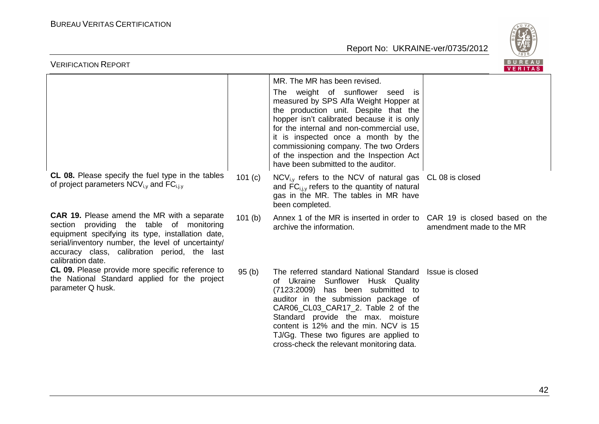

| BUREAU<br><b>VERIFICATION REPORT</b><br>VERITAS                                                                                                                                                                                                                                    |                    |                                                                                                                                                                                                                                                                                                                                                                                        |                          |  |  |
|------------------------------------------------------------------------------------------------------------------------------------------------------------------------------------------------------------------------------------------------------------------------------------|--------------------|----------------------------------------------------------------------------------------------------------------------------------------------------------------------------------------------------------------------------------------------------------------------------------------------------------------------------------------------------------------------------------------|--------------------------|--|--|
|                                                                                                                                                                                                                                                                                    |                    | MR. The MR has been revised.                                                                                                                                                                                                                                                                                                                                                           |                          |  |  |
|                                                                                                                                                                                                                                                                                    |                    | The weight of sunflower seed is<br>measured by SPS Alfa Weight Hopper at<br>the production unit. Despite that the<br>hopper isn't calibrated because it is only<br>for the internal and non-commercial use,<br>it is inspected once a month by the<br>commissioning company. The two Orders<br>of the inspection and the Inspection Act<br>have been submitted to the auditor.         |                          |  |  |
| <b>CL 08.</b> Please specify the fuel type in the tables<br>of project parameters $NCV_{i,v}$ and $FC_{i,i,v}$                                                                                                                                                                     | 101 (c)            | $NCV_{i,v}$ refers to the NCV of natural gas $CL$ 08 is closed<br>and FC <sub>i.i.v</sub> refers to the quantity of natural<br>gas in the MR. The tables in MR have<br>been completed.                                                                                                                                                                                                 |                          |  |  |
| <b>CAR 19.</b> Please amend the MR with a separate<br>providing the table of monitoring<br>section<br>equipment specifying its type, installation date,<br>serial/inventory number, the level of uncertainty/<br>accuracy class, calibration period, the last<br>calibration date. | 101 <sub>(b)</sub> | Annex 1 of the MR is inserted in order to CAR 19 is closed based on the<br>archive the information.                                                                                                                                                                                                                                                                                    | amendment made to the MR |  |  |
| CL 09. Please provide more specific reference to<br>the National Standard applied for the project<br>parameter Q husk.                                                                                                                                                             | 95(b)              | The referred standard National Standard Issue is closed<br>of Ukraine Sunflower Husk Quality<br>(7123:2009) has been submitted to<br>auditor in the submission package of<br>CAR06_CL03_CAR17_2. Table 2 of the<br>Standard provide the max. moisture<br>content is 12% and the min. NCV is 15<br>TJ/Gg. These two figures are applied to<br>cross-check the relevant monitoring data. |                          |  |  |